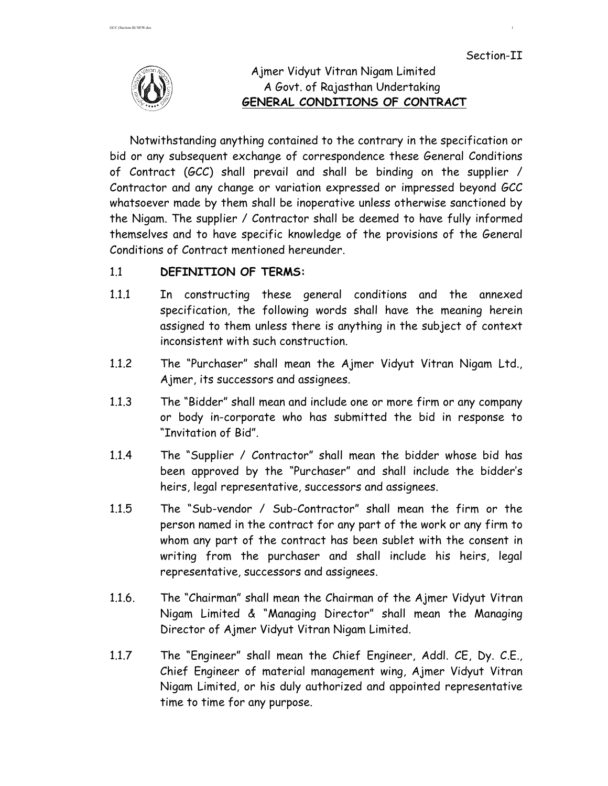

# Ajmer Vidyut Vitran Nigam Limited A Govt. of Rajasthan Undertaking  **GENERAL CONDITIONS OF CONTRACT**

Notwithstanding anything contained to the contrary in the specification or bid or any subsequent exchange of correspondence these General Conditions of Contract (GCC) shall prevail and shall be binding on the supplier / Contractor and any change or variation expressed or impressed beyond GCC whatsoever made by them shall be inoperative unless otherwise sanctioned by the Nigam. The supplier / Contractor shall be deemed to have fully informed themselves and to have specific knowledge of the provisions of the General Conditions of Contract mentioned hereunder.

# 1.1 **DEFINITION OF TERMS:**

- 1.1.1 In constructing these general conditions and the annexed specification, the following words shall have the meaning herein assigned to them unless there is anything in the subject of context inconsistent with such construction.
- 1.1.2 The "Purchaser" shall mean the Ajmer Vidyut Vitran Nigam Ltd., Ajmer, its successors and assignees.
- 1.1.3 The "Bidder" shall mean and include one or more firm or any company or body in-corporate who has submitted the bid in response to "Invitation of Bid".
- 1.1.4 The "Supplier / Contractor" shall mean the bidder whose bid has been approved by the "Purchaser" and shall include the bidder's heirs, legal representative, successors and assignees.
- 1.1.5 The "Sub-vendor / Sub-Contractor" shall mean the firm or the person named in the contract for any part of the work or any firm to whom any part of the contract has been sublet with the consent in writing from the purchaser and shall include his heirs, legal representative, successors and assignees.
- 1.1.6. The "Chairman" shall mean the Chairman of the Ajmer Vidyut Vitran Nigam Limited & "Managing Director" shall mean the Managing Director of Ajmer Vidyut Vitran Nigam Limited.
- 1.1.7 The "Engineer" shall mean the Chief Engineer, Addl. CE, Dy. C.E., Chief Engineer of material management wing, Ajmer Vidyut Vitran Nigam Limited, or his duly authorized and appointed representative time to time for any purpose.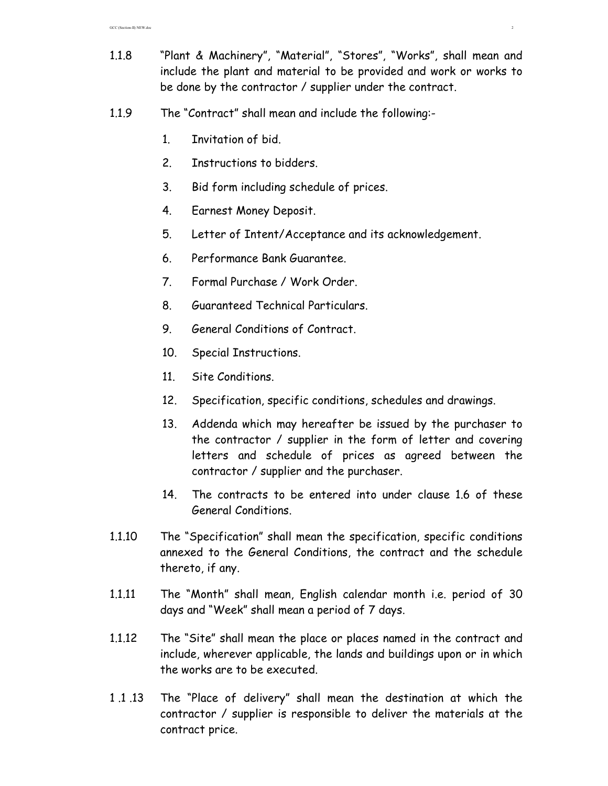- 1.1.8 "Plant & Machinery", "Material", "Stores", "Works", shall mean and include the plant and material to be provided and work or works to be done by the contractor / supplier under the contract.
- 1.1.9 The "Contract" shall mean and include the following:-
	- 1. Invitation of bid.
	- 2. Instructions to bidders.
	- 3. Bid form including schedule of prices.
	- 4. Earnest Money Deposit.
	- 5. Letter of Intent/Acceptance and its acknowledgement.
	- 6. Performance Bank Guarantee.
	- 7. Formal Purchase / Work Order.
	- 8. Guaranteed Technical Particulars.
	- 9. General Conditions of Contract.
	- 10. Special Instructions.
	- 11. Site Conditions.
	- 12. Specification, specific conditions, schedules and drawings.
	- 13. Addenda which may hereafter be issued by the purchaser to the contractor / supplier in the form of letter and covering letters and schedule of prices as agreed between the contractor / supplier and the purchaser.
	- 14. The contracts to be entered into under clause 1.6 of these General Conditions.
- 1.1.10 The "Specification" shall mean the specification, specific conditions annexed to the General Conditions, the contract and the schedule thereto, if any.
- 1.1.11 The "Month" shall mean, English calendar month i.e. period of 30 days and "Week" shall mean a period of 7 days.
- 1.1.12 The "Site" shall mean the place or places named in the contract and include, wherever applicable, the lands and buildings upon or in which the works are to be executed.
- 1 .1 .13 The "Place of delivery" shall mean the destination at which the contractor / supplier is responsible to deliver the materials at the contract price.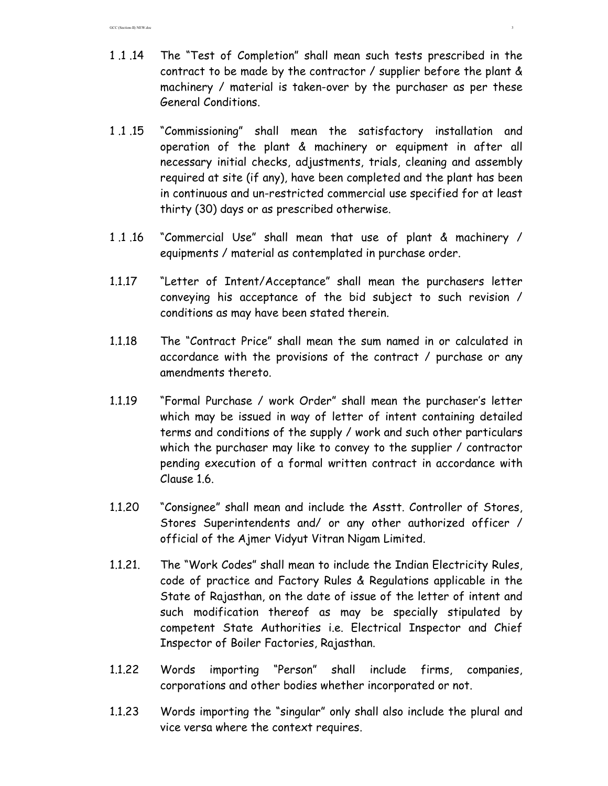- 1 .1 .14 The "Test of Completion" shall mean such tests prescribed in the contract to be made by the contractor / supplier before the plant & machinery / material is taken-over by the purchaser as per these General Conditions.
- 1 .1 .15 "Commissioning" shall mean the satisfactory installation and operation of the plant & machinery or equipment in after all necessary initial checks, adjustments, trials, cleaning and assembly required at site (if any), have been completed and the plant has been in continuous and un-restricted commercial use specified for at least thirty (30) days or as prescribed otherwise.
- 1 .1 .16 "Commercial Use" shall mean that use of plant & machinery / equipments / material as contemplated in purchase order.
- 1.1.17 "Letter of Intent/Acceptance" shall mean the purchasers letter conveying his acceptance of the bid subject to such revision / conditions as may have been stated therein.
- 1.1.18 The "Contract Price" shall mean the sum named in or calculated in accordance with the provisions of the contract / purchase or any amendments thereto.
- 1.1.19 "Formal Purchase / work Order" shall mean the purchaser's letter which may be issued in way of letter of intent containing detailed terms and conditions of the supply / work and such other particulars which the purchaser may like to convey to the supplier / contractor pending execution of a formal written contract in accordance with Clause 1.6.
- 1.1.20 "Consignee" shall mean and include the Asstt. Controller of Stores, Stores Superintendents and/ or any other authorized officer / official of the Ajmer Vidyut Vitran Nigam Limited.
- 1.1.21. The "Work Codes" shall mean to include the Indian Electricity Rules, code of practice and Factory Rules & Regulations applicable in the State of Rajasthan, on the date of issue of the letter of intent and such modification thereof as may be specially stipulated by competent State Authorities i.e. Electrical Inspector and Chief Inspector of Boiler Factories, Rajasthan.
- 1.1.22 Words importing "Person" shall include firms, companies, corporations and other bodies whether incorporated or not.
- 1.1.23 Words importing the "singular" only shall also include the plural and vice versa where the context requires.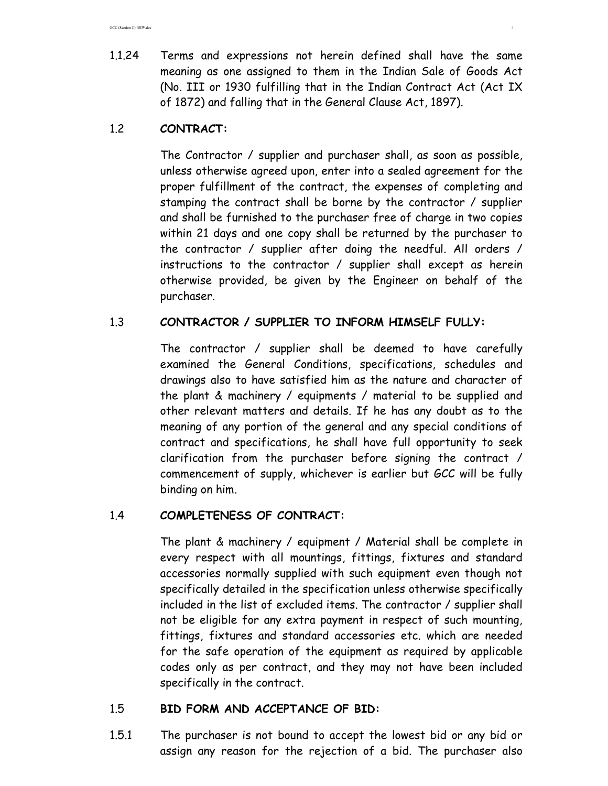GCC (Section-II) NEW.doc 4

1.1.24 Terms and expressions not herein defined shall have the same meaning as one assigned to them in the Indian Sale of Goods Act (No. III or 1930 fulfilling that in the Indian Contract Act (Act IX of 1872) and falling that in the General Clause Act, 1897).

# 1.2 **CONTRACT:**

The Contractor / supplier and purchaser shall, as soon as possible, unless otherwise agreed upon, enter into a sealed agreement for the proper fulfillment of the contract, the expenses of completing and stamping the contract shall be borne by the contractor / supplier and shall be furnished to the purchaser free of charge in two copies within 21 days and one copy shall be returned by the purchaser to the contractor / supplier after doing the needful. All orders / instructions to the contractor / supplier shall except as herein otherwise provided, be given by the Engineer on behalf of the purchaser.

# 1.3 **CONTRACTOR / SUPPLIER TO INFORM HIMSELF FULLY:**

The contractor / supplier shall be deemed to have carefully examined the General Conditions, specifications, schedules and drawings also to have satisfied him as the nature and character of the plant & machinery / equipments / material to be supplied and other relevant matters and details. If he has any doubt as to the meaning of any portion of the general and any special conditions of contract and specifications, he shall have full opportunity to seek clarification from the purchaser before signing the contract / commencement of supply, whichever is earlier but GCC will be fully binding on him.

# 1.4 **COMPLETENESS OF CONTRACT:**

The plant & machinery / equipment / Material shall be complete in every respect with all mountings, fittings, fixtures and standard accessories normally supplied with such equipment even though not specifically detailed in the specification unless otherwise specifically included in the list of excluded items. The contractor / supplier shall not be eligible for any extra payment in respect of such mounting, fittings, fixtures and standard accessories etc. which are needed for the safe operation of the equipment as required by applicable codes only as per contract, and they may not have been included specifically in the contract.

# 1.5 **BID FORM AND ACCEPTANCE OF BID:**

1.5.1 The purchaser is not bound to accept the lowest bid or any bid or assign any reason for the rejection of a bid. The purchaser also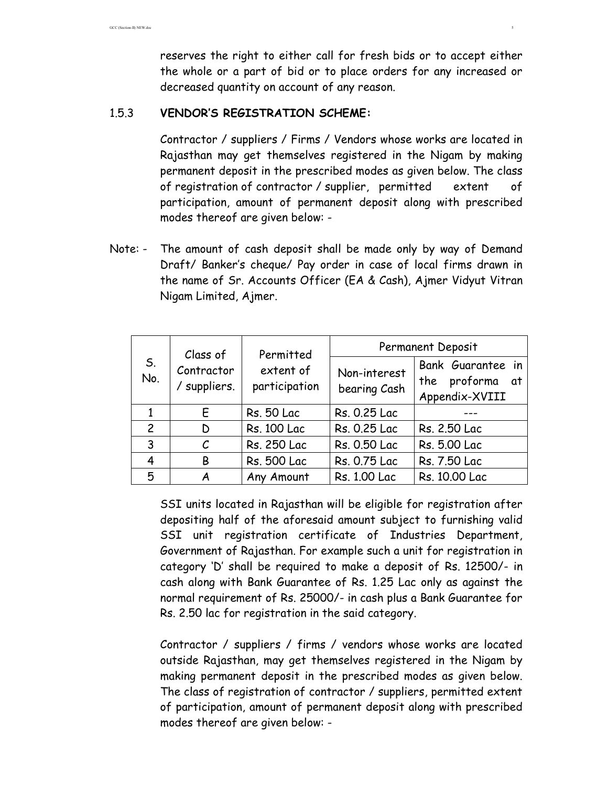reserves the right to either call for fresh bids or to accept either the whole or a part of bid or to place orders for any increased or decreased quantity on account of any reason.

### 1.5.3 **VENDOR'S REGISTRATION SCHEME:**

Contractor / suppliers / Firms / Vendors whose works are located in Rajasthan may get themselves registered in the Nigam by making permanent deposit in the prescribed modes as given below. The class of registration of contractor / supplier, permitted extent of participation, amount of permanent deposit along with prescribed modes thereof are given below: -

Note: - The amount of cash deposit shall be made only by way of Demand Draft/ Banker's cheque/ Pay order in case of local firms drawn in the name of Sr. Accounts Officer (EA & Cash), Ajmer Vidyut Vitran Nigam Limited, Ajmer.

| S.<br>No.      | Class of<br>Contractor<br>/ suppliers. | Permitted<br>extent of<br>participation | Permanent Deposit            |                                                           |  |
|----------------|----------------------------------------|-----------------------------------------|------------------------------|-----------------------------------------------------------|--|
|                |                                        |                                         | Non-interest<br>bearing Cash | Bank Guarantee in<br>the proforma<br>at<br>Appendix-XVIII |  |
|                | E.                                     | <b>Rs. 50 Lac</b>                       | Rs. 0.25 Lac                 |                                                           |  |
| $\overline{2}$ | D                                      | Rs. 100 Lac                             | Rs. 0.25 Lac                 | Rs. 2.50 Lac                                              |  |
| 3              | $\mathcal C$                           | Rs. 250 Lac                             | Rs. 0.50 Lac                 | Rs. 5.00 Lac                                              |  |
| 4              | B                                      | <b>Rs. 500 Lac</b>                      | Rs. 0.75 Lac                 | Rs. 7.50 Lac                                              |  |
| 5              | A                                      | Any Amount                              | Rs. 1.00 Lac                 | Rs. 10.00 Lac                                             |  |

 SSI units located in Rajasthan will be eligible for registration after depositing half of the aforesaid amount subject to furnishing valid SSI unit registration certificate of Industries Department, Government of Rajasthan. For example such a unit for registration in category 'D' shall be required to make a deposit of Rs. 12500/- in cash along with Bank Guarantee of Rs. 1.25 Lac only as against the normal requirement of Rs. 25000/- in cash plus a Bank Guarantee for Rs. 2.50 lac for registration in the said category.

 Contractor / suppliers / firms / vendors whose works are located outside Rajasthan, may get themselves registered in the Nigam by making permanent deposit in the prescribed modes as given below. The class of registration of contractor / suppliers, permitted extent of participation, amount of permanent deposit along with prescribed modes thereof are given below: -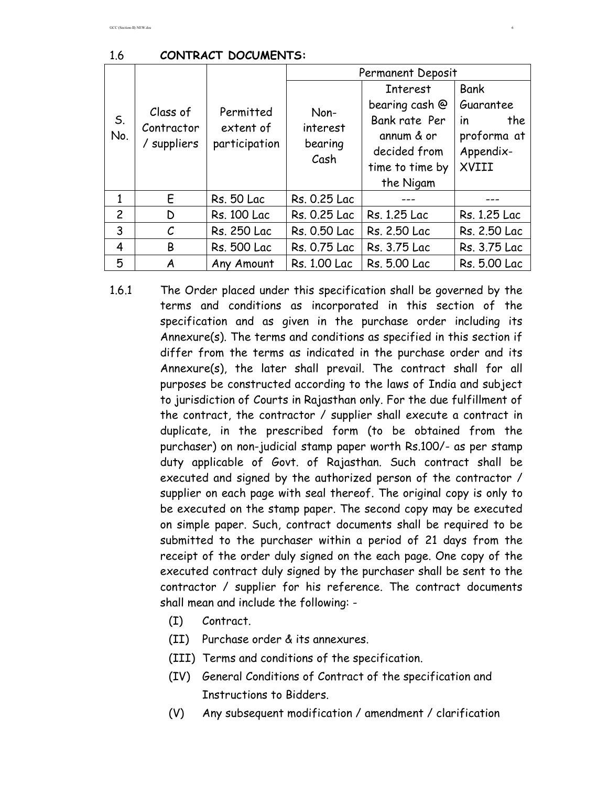|                |                                       |                                         | Permanent Deposit                   |                                                                                                                  |                                                                            |
|----------------|---------------------------------------|-----------------------------------------|-------------------------------------|------------------------------------------------------------------------------------------------------------------|----------------------------------------------------------------------------|
| S.<br>No.      | Class of<br>Contractor<br>/ suppliers | Permitted<br>extent of<br>participation | Non-<br>interest<br>bearing<br>Cash | <b>Interest</b><br>bearing cash @<br>Bank rate Per<br>annum & or<br>decided from<br>time to time by<br>the Nigam | Bank<br>Guarantee<br>the<br><i>in</i><br>proforma at<br>Appendix-<br>XVIII |
| $\mathbf{1}$   | E                                     | <b>Rs. 50 Lac</b>                       | Rs. 0.25 Lac                        |                                                                                                                  |                                                                            |
| $\overline{c}$ | D                                     | <b>Rs. 100 Lac</b>                      | Rs. 0.25 Lac                        | Rs. 1.25 Lac                                                                                                     | Rs. 1.25 Lac                                                               |
| 3              | $\mathcal{C}_{0}$                     | Rs. 250 Lac                             | Rs. 0.50 Lac                        | Rs. 2.50 Lac                                                                                                     | Rs. 2.50 Lac                                                               |
| 4              | B                                     | <b>Rs. 500 Lac</b>                      | Rs. 0.75 Lac                        | Rs. 3.75 Lac                                                                                                     | Rs. 3.75 Lac                                                               |
| 5              | A                                     | Any Amount                              | Rs. 1.00 Lac                        | Rs. 5.00 Lac                                                                                                     | Rs. 5.00 Lac                                                               |

- 1.6.1 The Order placed under this specification shall be governed by the terms and conditions as incorporated in this section of the specification and as given in the purchase order including its Annexure(s). The terms and conditions as specified in this section if differ from the terms as indicated in the purchase order and its Annexure(s), the later shall prevail. The contract shall for all purposes be constructed according to the laws of India and subject to jurisdiction of Courts in Rajasthan only. For the due fulfillment of the contract, the contractor / supplier shall execute a contract in duplicate, in the prescribed form (to be obtained from the purchaser) on non-judicial stamp paper worth Rs.100/- as per stamp duty applicable of Govt. of Rajasthan. Such contract shall be executed and signed by the authorized person of the contractor / supplier on each page with seal thereof. The original copy is only to be executed on the stamp paper. The second copy may be executed on simple paper. Such, contract documents shall be required to be submitted to the purchaser within a period of 21 days from the receipt of the order duly signed on the each page. One copy of the executed contract duly signed by the purchaser shall be sent to the contractor / supplier for his reference. The contract documents shall mean and include the following: -
	- (I) Contract.
	- (II) Purchase order & its annexures.
	- (III) Terms and conditions of the specification.
	- (IV) General Conditions of Contract of the specification and Instructions to Bidders.
	- (V) Any subsequent modification / amendment / clarification

#### 1.6 **CONTRACT DOCUMENTS:**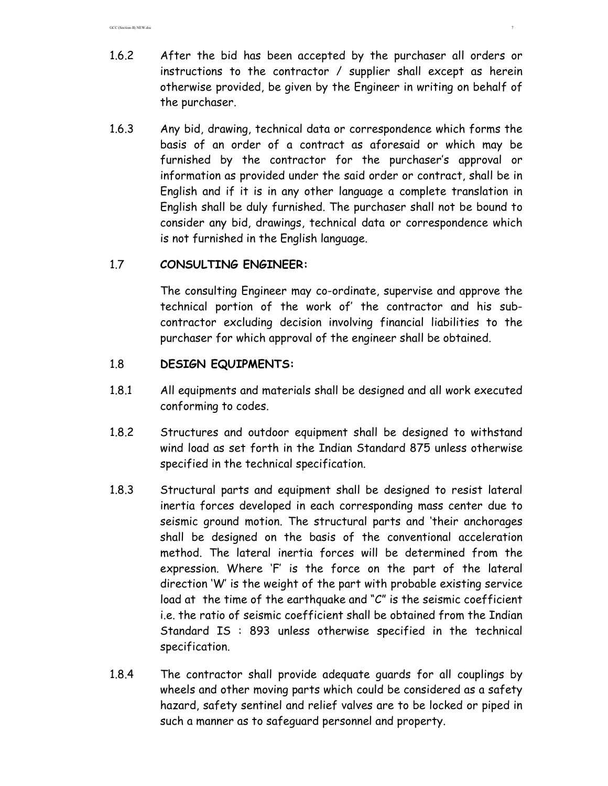- 1.6.2 After the bid has been accepted by the purchaser all orders or instructions to the contractor / supplier shall except as herein otherwise provided, be given by the Engineer in writing on behalf of the purchaser.
- 1.6.3 Any bid, drawing, technical data or correspondence which forms the basis of an order of a contract as aforesaid or which may be furnished by the contractor for the purchaser's approval or information as provided under the said order or contract, shall be in English and if it is in any other language a complete translation in English shall be duly furnished. The purchaser shall not be bound to consider any bid, drawings, technical data or correspondence which is not furnished in the English language.

## 1.7 **CONSULTING ENGINEER:**

The consulting Engineer may co-ordinate, supervise and approve the technical portion of the work of' the contractor and his subcontractor excluding decision involving financial liabilities to the purchaser for which approval of the engineer shall be obtained.

## 1.8 **DESIGN EQUIPMENTS:**

- 1.8.1 All equipments and materials shall be designed and all work executed conforming to codes.
- 1.8.2 Structures and outdoor equipment shall be designed to withstand wind load as set forth in the Indian Standard 875 unless otherwise specified in the technical specification.
- 1.8.3 Structural parts and equipment shall be designed to resist lateral inertia forces developed in each corresponding mass center due to seismic ground motion. The structural parts and 'their anchorages shall be designed on the basis of the conventional acceleration method. The lateral inertia forces will be determined from the expression. Where 'F' is the force on the part of the lateral direction 'W' is the weight of the part with probable existing service load at the time of the earthquake and "C" is the seismic coefficient i.e. the ratio of seismic coefficient shall be obtained from the Indian Standard IS : 893 unless otherwise specified in the technical specification.
- 1.8.4 The contractor shall provide adequate guards for all couplings by wheels and other moving parts which could be considered as a safety hazard, safety sentinel and relief valves are to be locked or piped in such a manner as to safeguard personnel and property.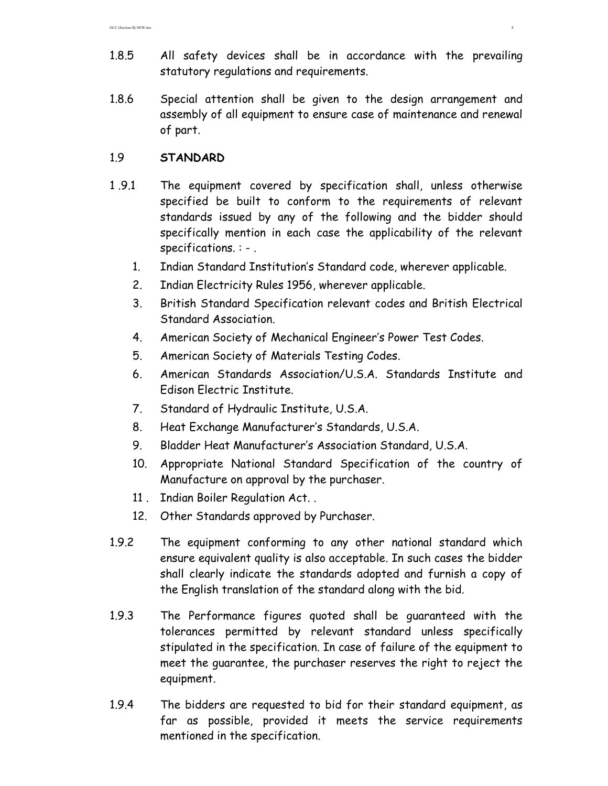- 1.8.5 All safety devices shall be in accordance with the prevailing statutory regulations and requirements.
- 1.8.6 Special attention shall be given to the design arrangement and assembly of all equipment to ensure case of maintenance and renewal of part.

### 1.9 **STANDARD**

- 1 .9.1 The equipment covered by specification shall, unless otherwise specified be built to conform to the requirements of relevant standards issued by any of the following and the bidder should specifically mention in each case the applicability of the relevant specifications. : - .
	- 1. Indian Standard Institution's Standard code, wherever applicable.
	- 2. Indian Electricity Rules 1956, wherever applicable.
	- 3. British Standard Specification relevant codes and British Electrical Standard Association.
	- 4. American Society of Mechanical Engineer's Power Test Codes.
	- 5. American Society of Materials Testing Codes.
	- 6. American Standards Association/U.S.A. Standards Institute and Edison Electric Institute.
	- 7. Standard of Hydraulic Institute, U.S.A.
	- 8. Heat Exchange Manufacturer's Standards, U.S.A.
	- 9. Bladder Heat Manufacturer's Association Standard, U.S.A.
	- 10. Appropriate National Standard Specification of the country of Manufacture on approval by the purchaser.
	- 11 . Indian Boiler Regulation Act. .
	- 12. Other Standards approved by Purchaser.
- 1.9.2 The equipment conforming to any other national standard which ensure equivalent quality is also acceptable. In such cases the bidder shall clearly indicate the standards adopted and furnish a copy of the English translation of the standard along with the bid.
- 1.9.3 The Performance figures quoted shall be guaranteed with the tolerances permitted by relevant standard unless specifically stipulated in the specification. In case of failure of the equipment to meet the guarantee, the purchaser reserves the right to reject the equipment.
- 1.9.4 The bidders are requested to bid for their standard equipment, as far as possible, provided it meets the service requirements mentioned in the specification.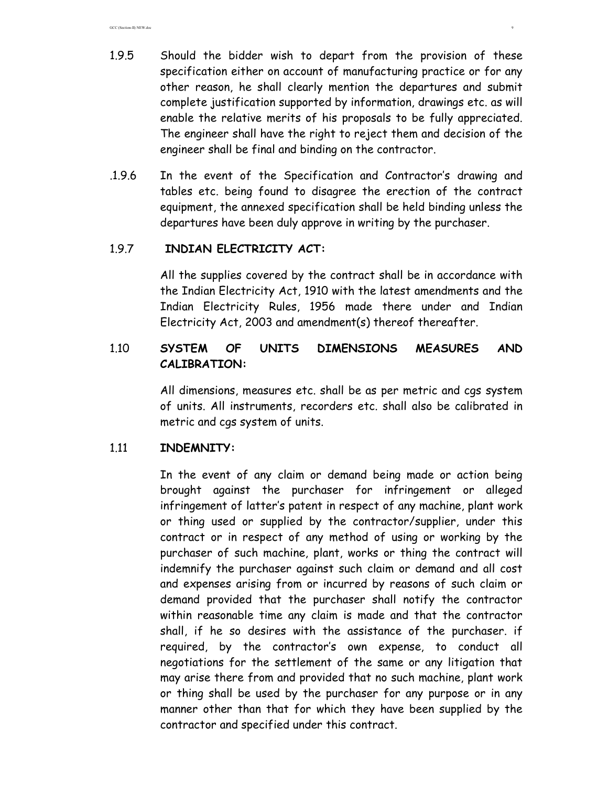- 1.9.5 Should the bidder wish to depart from the provision of these specification either on account of manufacturing practice or for any other reason, he shall clearly mention the departures and submit complete justification supported by information, drawings etc. as will enable the relative merits of his proposals to be fully appreciated. The engineer shall have the right to reject them and decision of the engineer shall be final and binding on the contractor.
- .1.9.6 In the event of the Specification and Contractor's drawing and tables etc. being found to disagree the erection of the contract equipment, the annexed specification shall be held binding unless the departures have been duly approve in writing by the purchaser.

### 1.9.7 **INDIAN ELECTRICITY ACT:**

All the supplies covered by the contract shall be in accordance with the Indian Electricity Act, 1910 with the latest amendments and the Indian Electricity Rules, 1956 made there under and Indian Electricity Act, 2003 and amendment(s) thereof thereafter.

# 1.10 **SYSTEM OF UNITS DIMENSIONS MEASURES AND CALIBRATION:**

All dimensions, measures etc. shall be as per metric and cgs system of units. All instruments, recorders etc. shall also be calibrated in metric and cgs system of units.

### 1.11 **INDEMNITY:**

 In the event of any claim or demand being made or action being brought against the purchaser for infringement or alleged infringement of latter's patent in respect of any machine, plant work or thing used or supplied by the contractor/supplier, under this contract or in respect of any method of using or working by the purchaser of such machine, plant, works or thing the contract will indemnify the purchaser against such claim or demand and all cost and expenses arising from or incurred by reasons of such claim or demand provided that the purchaser shall notify the contractor within reasonable time any claim is made and that the contractor shall, if he so desires with the assistance of the purchaser. if required, by the contractor's own expense, to conduct all negotiations for the settlement of the same or any litigation that may arise there from and provided that no such machine, plant work or thing shall be used by the purchaser for any purpose or in any manner other than that for which they have been supplied by the contractor and specified under this contract.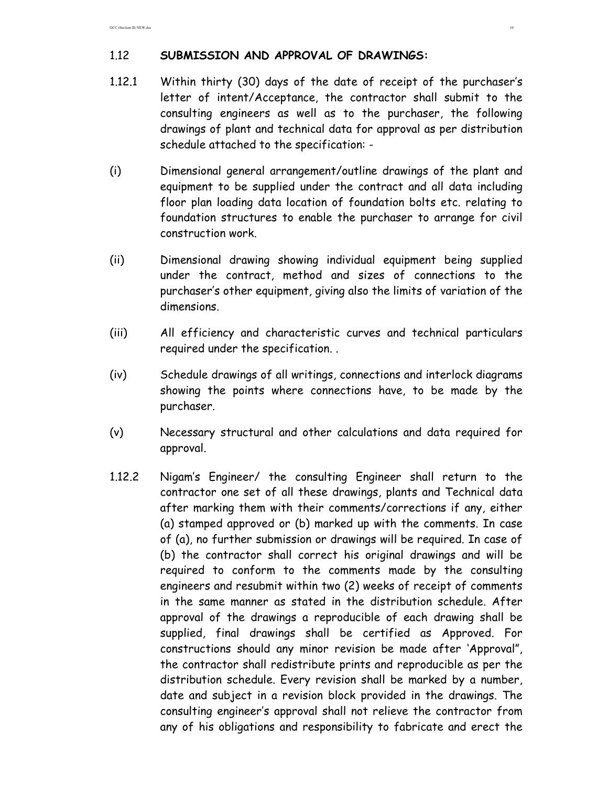## 1.12 **SUBMISSION AND APPROVAL OF DRAWINGS:**

- 1.12.1 Within thirty (30) days of the date of receipt of the purchaser's letter of intent/Acceptance, the contractor shall submit to the consulting engineers as well as to the purchaser, the following drawings of plant and technical data for approval as per distribution schedule attached to the specification: -
- (i) Dimensional general arrangement/outline drawings of the plant and equipment to be supplied under the contract and all data including floor plan loading data location of foundation bolts etc. relating to foundation structures to enable the purchaser to arrange for civil construction work.
- (ii) Dimensional drawing showing individual equipment being supplied under the contract, method and sizes of connections to the purchaser's other equipment, giving also the limits of variation of the dimensions.
- (iii) All efficiency and characteristic curves and technical particulars required under the specification. .
- (iv) Schedule drawings of all writings, connections and interlock diagrams showing the points where connections have, to be made by the purchaser.
- (v) Necessary structural and other calculations and data required for approval.
- 1.12.2 Nigam's Engineer/ the consulting Engineer shall return to the contractor one set of all these drawings, plants and Technical data after marking them with their comments/corrections if any, either (a) stamped approved or (b) marked up with the comments. In case of (a), no further submission or drawings will be required. In case of (b) the contractor shall correct his original drawings and will be required to conform to the comments made by the consulting engineers and resubmit within two (2) weeks of receipt of comments in the same manner as stated in the distribution schedule. After approval of the drawings a reproducible of each drawing shall be supplied, final drawings shall be certified as Approved. For constructions should any minor revision be made after 'Approval", the contractor shall redistribute prints and reproducible as per the distribution schedule. Every revision shall be marked by a number, date and subject in a revision block provided in the drawings. The consulting engineer's approval shall not relieve the contractor from any of his obligations and responsibility to fabricate and erect the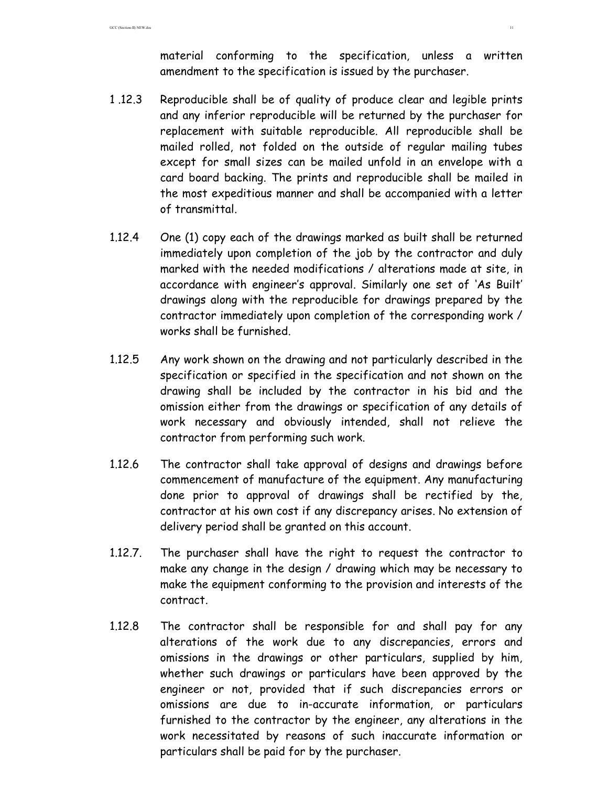material conforming to the specification, unless a written amendment to the specification is issued by the purchaser.

- 1 .12.3 Reproducible shall be of quality of produce clear and legible prints and any inferior reproducible will be returned by the purchaser for replacement with suitable reproducible. All reproducible shall be mailed rolled, not folded on the outside of regular mailing tubes except for small sizes can be mailed unfold in an envelope with a card board backing. The prints and reproducible shall be mailed in the most expeditious manner and shall be accompanied with a letter of transmittal.
- 1.12.4 One (1) copy each of the drawings marked as built shall be returned immediately upon completion of the job by the contractor and duly marked with the needed modifications / alterations made at site, in accordance with engineer's approval. Similarly one set of 'As Built' drawings along with the reproducible for drawings prepared by the contractor immediately upon completion of the corresponding work / works shall be furnished.
- 1.12.5 Any work shown on the drawing and not particularly described in the specification or specified in the specification and not shown on the drawing shall be included by the contractor in his bid and the omission either from the drawings or specification of any details of work necessary and obviously intended, shall not relieve the contractor from performing such work.
- 1.12.6 The contractor shall take approval of designs and drawings before commencement of manufacture of the equipment. Any manufacturing done prior to approval of drawings shall be rectified by the, contractor at his own cost if any discrepancy arises. No extension of delivery period shall be granted on this account.
- 1.12.7. The purchaser shall have the right to request the contractor to make any change in the design / drawing which may be necessary to make the equipment conforming to the provision and interests of the contract.
- 1.12.8 The contractor shall be responsible for and shall pay for any alterations of the work due to any discrepancies, errors and omissions in the drawings or other particulars, supplied by him, whether such drawings or particulars have been approved by the engineer or not, provided that if such discrepancies errors or omissions are due to in-accurate information, or particulars furnished to the contractor by the engineer, any alterations in the work necessitated by reasons of such inaccurate information or particulars shall be paid for by the purchaser.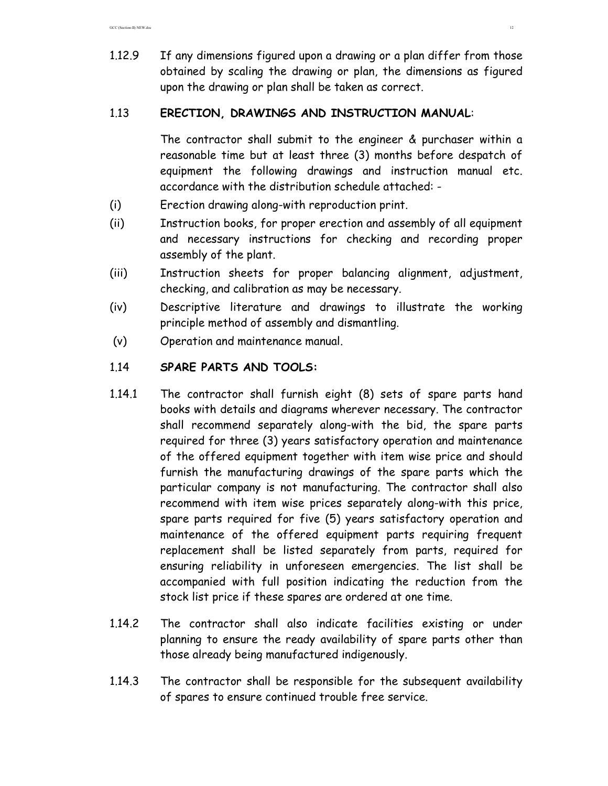1.12.9 If any dimensions figured upon a drawing or a plan differ from those obtained by scaling the drawing or plan, the dimensions as figured upon the drawing or plan shall be taken as correct.

## 1.13 **ERECTION, DRAWINGS AND INSTRUCTION MANUAL**:

 The contractor shall submit to the engineer & purchaser within a reasonable time but at least three (3) months before despatch of equipment the following drawings and instruction manual etc. accordance with the distribution schedule attached: -

- (i) Erection drawing along-with reproduction print.
- (ii) Instruction books, for proper erection and assembly of all equipment and necessary instructions for checking and recording proper assembly of the plant.
- (iii) Instruction sheets for proper balancing alignment, adjustment, checking, and calibration as may be necessary.
- (iv) Descriptive literature and drawings to illustrate the working principle method of assembly and dismantling.
- (v) Operation and maintenance manual.

## 1.14 **SPARE PARTS AND TOOLS:**

- 1.14.1 The contractor shall furnish eight (8) sets of spare parts hand books with details and diagrams wherever necessary. The contractor shall recommend separately along-with the bid, the spare parts required for three (3) years satisfactory operation and maintenance of the offered equipment together with item wise price and should furnish the manufacturing drawings of the spare parts which the particular company is not manufacturing. The contractor shall also recommend with item wise prices separately along-with this price, spare parts required for five (5) years satisfactory operation and maintenance of the offered equipment parts requiring frequent replacement shall be listed separately from parts, required for ensuring reliability in unforeseen emergencies. The list shall be accompanied with full position indicating the reduction from the stock list price if these spares are ordered at one time.
- 1.14.2 The contractor shall also indicate facilities existing or under planning to ensure the ready availability of spare parts other than those already being manufactured indigenously.
- 1.14.3 The contractor shall be responsible for the subsequent availability of spares to ensure continued trouble free service.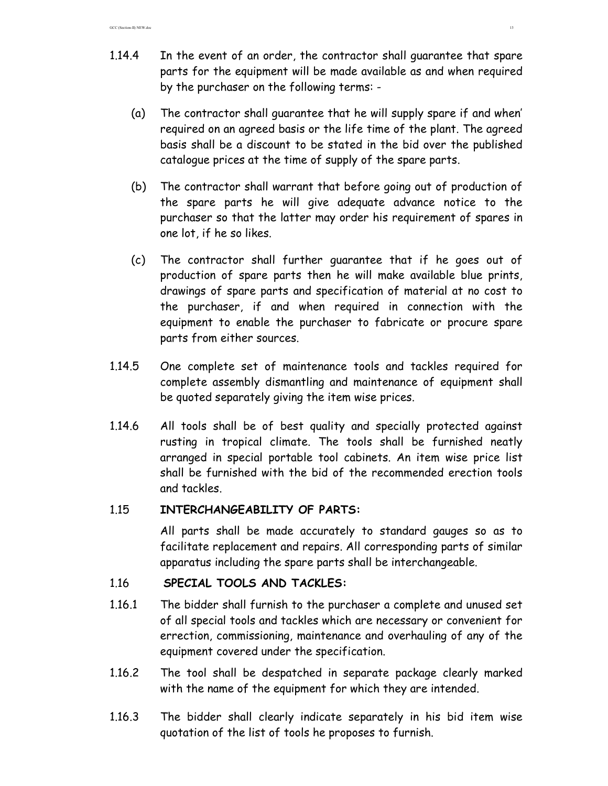- 1.14.4 In the event of an order, the contractor shall guarantee that spare parts for the equipment will be made available as and when required by the purchaser on the following terms: -
	- (a) The contractor shall guarantee that he will supply spare if and when' required on an agreed basis or the life time of the plant. The agreed basis shall be a discount to be stated in the bid over the published catalogue prices at the time of supply of the spare parts.
	- (b) The contractor shall warrant that before going out of production of the spare parts he will give adequate advance notice to the purchaser so that the latter may order his requirement of spares in one lot, if he so likes.
	- (c) The contractor shall further guarantee that if he goes out of production of spare parts then he will make available blue prints, drawings of spare parts and specification of material at no cost to the purchaser, if and when required in connection with the equipment to enable the purchaser to fabricate or procure spare parts from either sources.
- 1.14.5 One complete set of maintenance tools and tackles required for complete assembly dismantling and maintenance of equipment shall be quoted separately giving the item wise prices.
- 1.14.6 All tools shall be of best quality and specially protected against rusting in tropical climate. The tools shall be furnished neatly arranged in special portable tool cabinets. An item wise price list shall be furnished with the bid of the recommended erection tools and tackles.

# 1.15 **INTERCHANGEABILITY OF PARTS:**

All parts shall be made accurately to standard gauges so as to facilitate replacement and repairs. All corresponding parts of similar apparatus including the spare parts shall be interchangeable.

# 1.16 **SPECIAL TOOLS AND TACKLES:**

- 1.16.1 The bidder shall furnish to the purchaser a complete and unused set of all special tools and tackles which are necessary or convenient for errection, commissioning, maintenance and overhauling of any of the equipment covered under the specification.
- 1.16.2 The tool shall be despatched in separate package clearly marked with the name of the equipment for which they are intended.
- 1.16.3 The bidder shall clearly indicate separately in his bid item wise quotation of the list of tools he proposes to furnish.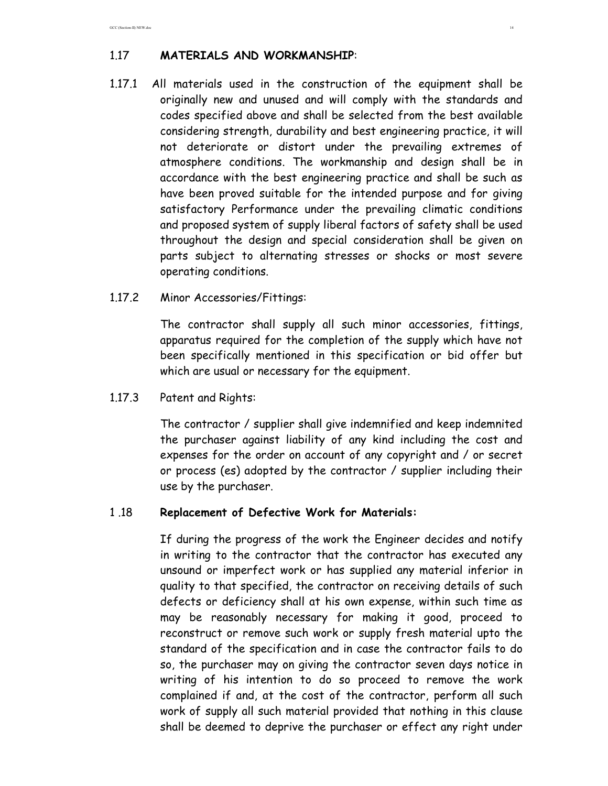## 1.17 **MATERIALS AND WORKMANSHIP**:

- 1.17.1 All materials used in the construction of the equipment shall be originally new and unused and will comply with the standards and codes specified above and shall be selected from the best available considering strength, durability and best engineering practice, it will not deteriorate or distort under the prevailing extremes of atmosphere conditions. The workmanship and design shall be in accordance with the best engineering practice and shall be such as have been proved suitable for the intended purpose and for giving satisfactory Performance under the prevailing climatic conditions and proposed system of supply liberal factors of safety shall be used throughout the design and special consideration shall be given on parts subject to alternating stresses or shocks or most severe operating conditions.
- 1.17.2 Minor Accessories/Fittings:

 The contractor shall supply all such minor accessories, fittings, apparatus required for the completion of the supply which have not been specifically mentioned in this specification or bid offer but which are usual or necessary for the equipment.

1.17.3 Patent and Rights:

 The contractor / supplier shall give indemnified and keep indemnited the purchaser against liability of any kind including the cost and expenses for the order on account of any copyright and / or secret or process (es) adopted by the contractor / supplier including their use by the purchaser.

### 1 .18 **Replacement of Defective Work for Materials:**

 If during the progress of the work the Engineer decides and notify in writing to the contractor that the contractor has executed any unsound or imperfect work or has supplied any material inferior in quality to that specified, the contractor on receiving details of such defects or deficiency shall at his own expense, within such time as may be reasonably necessary for making it good, proceed to reconstruct or remove such work or supply fresh material upto the standard of the specification and in case the contractor fails to do so, the purchaser may on giving the contractor seven days notice in writing of his intention to do so proceed to remove the work complained if and, at the cost of the contractor, perform all such work of supply all such material provided that nothing in this clause shall be deemed to deprive the purchaser or effect any right under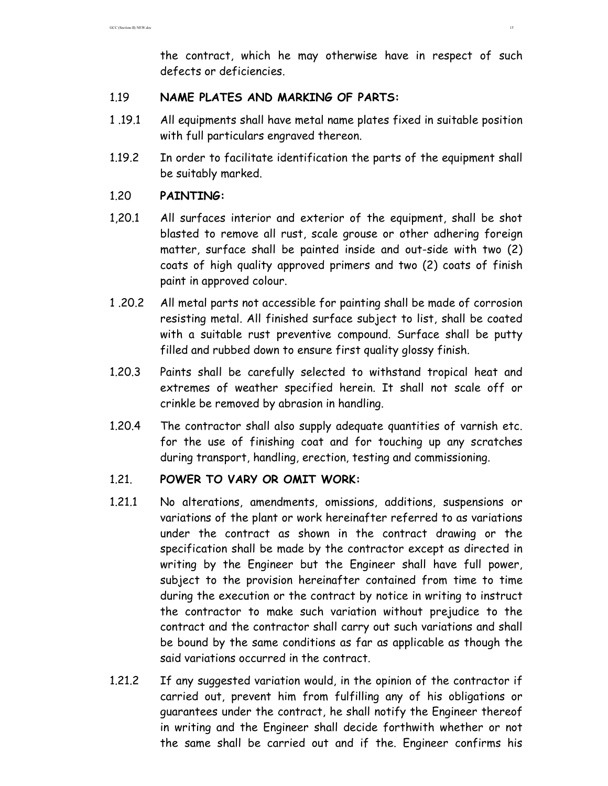the contract, which he may otherwise have in respect of such defects or deficiencies.

### 1.19 **NAME PLATES AND MARKING OF PARTS:**

- 1 .19.1 All equipments shall have metal name plates fixed in suitable position with full particulars engraved thereon.
- 1.19.2 In order to facilitate identification the parts of the equipment shall be suitably marked.

## 1.20 **PAINTING:**

- 1,20.1 All surfaces interior and exterior of the equipment, shall be shot blasted to remove all rust, scale grouse or other adhering foreign matter, surface shall be painted inside and out-side with two (2) coats of high quality approved primers and two (2) coats of finish paint in approved colour.
- 1 .20.2 All metal parts not accessible for painting shall be made of corrosion resisting metal. All finished surface subject to list, shall be coated with a suitable rust preventive compound. Surface shall be putty filled and rubbed down to ensure first quality glossy finish.
- 1.20.3 Paints shall be carefully selected to withstand tropical heat and extremes of weather specified herein. It shall not scale off or crinkle be removed by abrasion in handling.
- 1.20.4 The contractor shall also supply adequate quantities of varnish etc. for the use of finishing coat and for touching up any scratches during transport, handling, erection, testing and commissioning.

# 1.21. **POWER TO VARY OR OMIT WORK:**

- 1.21.1 No alterations, amendments, omissions, additions, suspensions or variations of the plant or work hereinafter referred to as variations under the contract as shown in the contract drawing or the specification shall be made by the contractor except as directed in writing by the Engineer but the Engineer shall have full power, subject to the provision hereinafter contained from time to time during the execution or the contract by notice in writing to instruct the contractor to make such variation without prejudice to the contract and the contractor shall carry out such variations and shall be bound by the same conditions as far as applicable as though the said variations occurred in the contract.
- 1.21.2 If any suggested variation would, in the opinion of the contractor if carried out, prevent him from fulfilling any of his obligations or guarantees under the contract, he shall notify the Engineer thereof in writing and the Engineer shall decide forthwith whether or not the same shall be carried out and if the. Engineer confirms his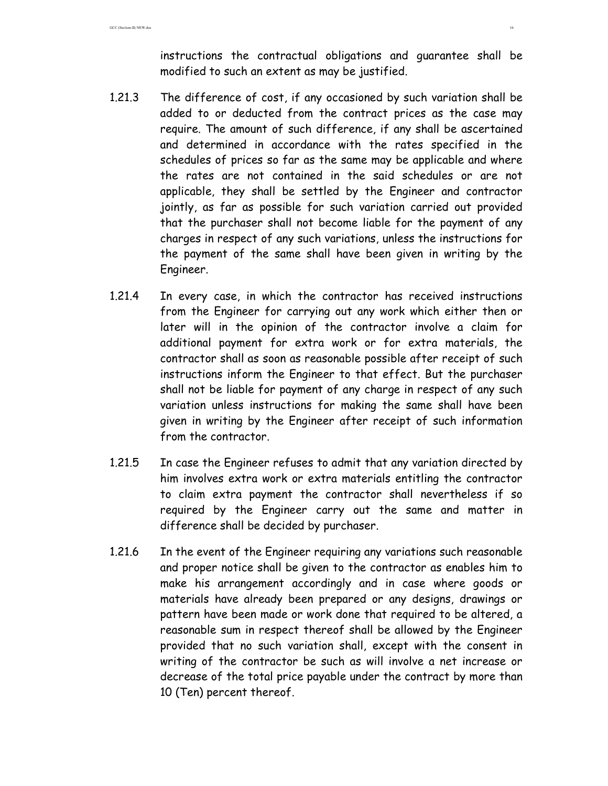instructions the contractual obligations and guarantee shall be modified to such an extent as may be justified.

- 1.21.3 The difference of cost, if any occasioned by such variation shall be added to or deducted from the contract prices as the case may require. The amount of such difference, if any shall be ascertained and determined in accordance with the rates specified in the schedules of prices so far as the same may be applicable and where the rates are not contained in the said schedules or are not applicable, they shall be settled by the Engineer and contractor jointly, as far as possible for such variation carried out provided that the purchaser shall not become liable for the payment of any charges in respect of any such variations, unless the instructions for the payment of the same shall have been given in writing by the Engineer.
- 1.21.4 In every case, in which the contractor has received instructions from the Engineer for carrying out any work which either then or later will in the opinion of the contractor involve a claim for additional payment for extra work or for extra materials, the contractor shall as soon as reasonable possible after receipt of such instructions inform the Engineer to that effect. But the purchaser shall not be liable for payment of any charge in respect of any such variation unless instructions for making the same shall have been given in writing by the Engineer after receipt of such information from the contractor.
- 1.21.5 In case the Engineer refuses to admit that any variation directed by him involves extra work or extra materials entitling the contractor to claim extra payment the contractor shall nevertheless if so required by the Engineer carry out the same and matter in difference shall be decided by purchaser.
- 1.21.6 In the event of the Engineer requiring any variations such reasonable and proper notice shall be given to the contractor as enables him to make his arrangement accordingly and in case where goods or materials have already been prepared or any designs, drawings or pattern have been made or work done that required to be altered, a reasonable sum in respect thereof shall be allowed by the Engineer provided that no such variation shall, except with the consent in writing of the contractor be such as will involve a net increase or decrease of the total price payable under the contract by more than 10 (Ten) percent thereof.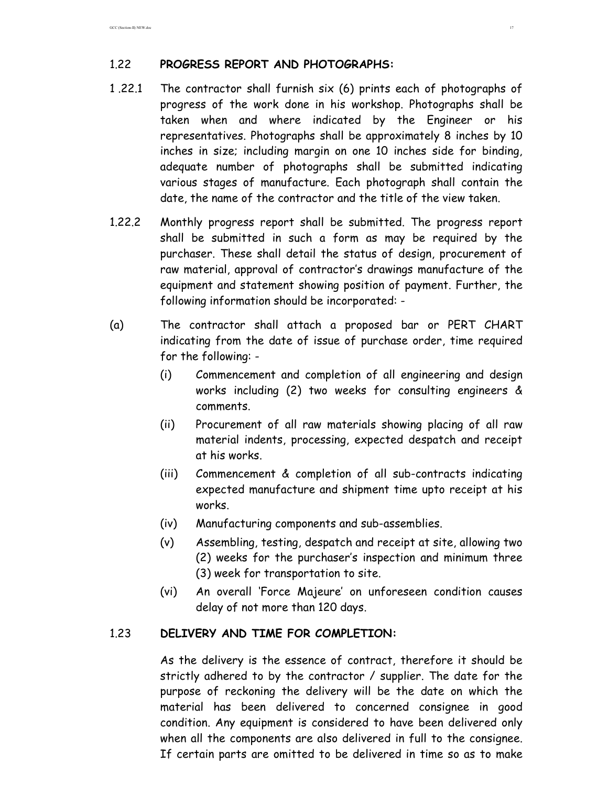### 1.22 **PROGRESS REPORT AND PHOTOGRAPHS:**

- 1 .22.1 The contractor shall furnish six (6) prints each of photographs of progress of the work done in his workshop. Photographs shall be taken when and where indicated by the Engineer or his representatives. Photographs shall be approximately 8 inches by 10 inches in size; including margin on one 10 inches side for binding, adequate number of photographs shall be submitted indicating various stages of manufacture. Each photograph shall contain the date, the name of the contractor and the title of the view taken.
- 1.22.2 Monthly progress report shall be submitted. The progress report shall be submitted in such a form as may be required by the purchaser. These shall detail the status of design, procurement of raw material, approval of contractor's drawings manufacture of the equipment and statement showing position of payment. Further, the following information should be incorporated: -
- (a) The contractor shall attach a proposed bar or PERT CHART indicating from the date of issue of purchase order, time required for the following: -
	- (i) Commencement and completion of all engineering and design works including (2) two weeks for consulting engineers & comments.
	- (ii) Procurement of all raw materials showing placing of all raw material indents, processing, expected despatch and receipt at his works.
	- (iii) Commencement & completion of all sub-contracts indicating expected manufacture and shipment time upto receipt at his works.
	- (iv) Manufacturing components and sub-assemblies.
	- (v) Assembling, testing, despatch and receipt at site, allowing two (2) weeks for the purchaser's inspection and minimum three (3) week for transportation to site.
	- (vi) An overall 'Force Majeure' on unforeseen condition causes delay of not more than 120 days.

### 1.23 **DELIVERY AND TIME FOR COMPLETION:**

 As the delivery is the essence of contract, therefore it should be strictly adhered to by the contractor / supplier. The date for the purpose of reckoning the delivery will be the date on which the material has been delivered to concerned consignee in good condition. Any equipment is considered to have been delivered only when all the components are also delivered in full to the consignee. If certain parts are omitted to be delivered in time so as to make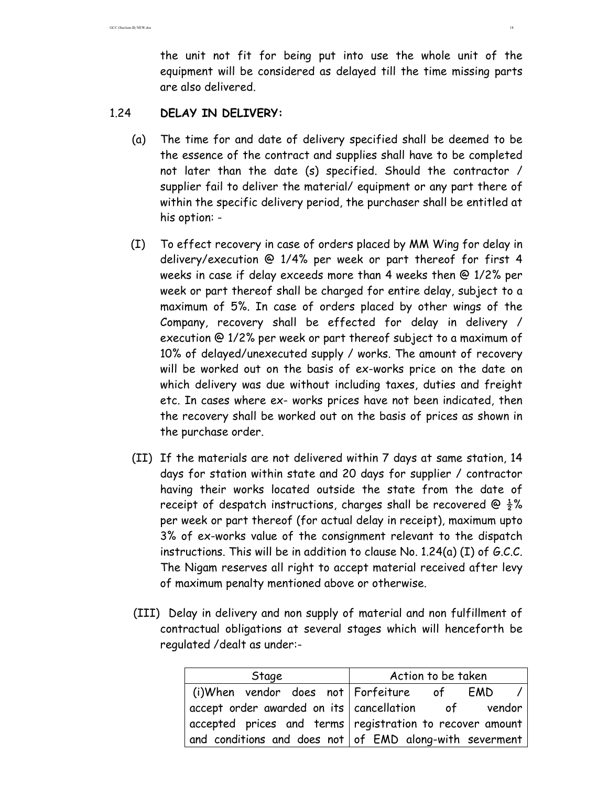the unit not fit for being put into use the whole unit of the equipment will be considered as delayed till the time missing parts are also delivered.

### 1.24 **DELAY IN DELIVERY:**

- (a) The time for and date of delivery specified shall be deemed to be the essence of the contract and supplies shall have to be completed not later than the date (s) specified. Should the contractor / supplier fail to deliver the material/ equipment or any part there of within the specific delivery period, the purchaser shall be entitled at his option: -
- (I) To effect recovery in case of orders placed by MM Wing for delay in delivery/execution @ 1/4% per week or part thereof for first 4 weeks in case if delay exceeds more than 4 weeks then @ 1/2% per week or part thereof shall be charged for entire delay, subject to a maximum of 5%. In case of orders placed by other wings of the Company, recovery shall be effected for delay in delivery / execution @ 1/2% per week or part thereof subject to a maximum of 10% of delayed/unexecuted supply / works. The amount of recovery will be worked out on the basis of ex-works price on the date on which delivery was due without including taxes, duties and freight etc. In cases where ex- works prices have not been indicated, then the recovery shall be worked out on the basis of prices as shown in the purchase order.
- (II) If the materials are not delivered within 7 days at same station, 14 days for station within state and 20 days for supplier / contractor having their works located outside the state from the date of receipt of despatch instructions, charges shall be recovered @  $\frac{1}{2}$ % per week or part thereof (for actual delay in receipt), maximum upto 3% of ex-works value of the consignment relevant to the dispatch instructions. This will be in addition to clause No. 1.24(a) (I) of G.C.C. The Nigam reserves all right to accept material received after levy of maximum penalty mentioned above or otherwise.
- (III) Delay in delivery and non supply of material and non fulfillment of contractual obligations at several stages which will henceforth be regulated /dealt as under:-

| Stage                                       | Action to be taken                                                       |
|---------------------------------------------|--------------------------------------------------------------------------|
| (i)When vendor does not Forfeiture  of  EMD | $\prime$                                                                 |
|                                             | $\mid$ accept order awarded on its $\mid$ cancellation of vendor $\mid$  |
|                                             | $\vert$ accepted prices and terms registration to recover amount $\vert$ |
|                                             | and conditions and does not of $EMD$ along-with severment                |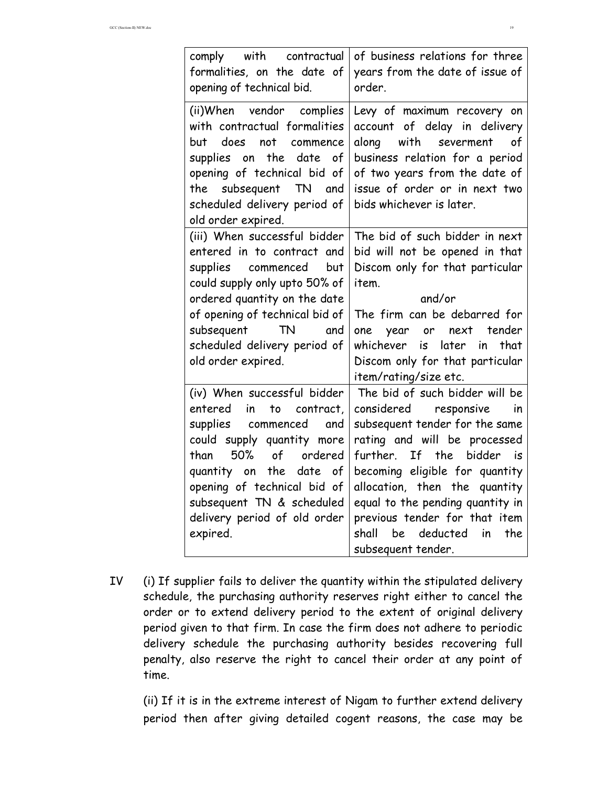| comply with contractual<br>formalities, on the date of<br>opening of technical bid.                                                                                                                                                                                                                 | of business relations for three<br>years from the date of issue of<br>order.                                                                                                                                                                                                                                                                                                |
|-----------------------------------------------------------------------------------------------------------------------------------------------------------------------------------------------------------------------------------------------------------------------------------------------------|-----------------------------------------------------------------------------------------------------------------------------------------------------------------------------------------------------------------------------------------------------------------------------------------------------------------------------------------------------------------------------|
| (ii)When vendor complies<br>with contractual formalities<br>does<br>not<br>but<br>commence<br>the<br>date<br>supplies on<br>of<br>opening of technical bid of<br>the subsequent TN<br>and<br>scheduled delivery period of<br>old order expired.                                                     | Levy of maximum recovery on<br>account of delay in delivery<br>along<br>with severment<br>оf<br>business relation for a period<br>of two years from the date of<br>issue of order or in next two<br>bids whichever is later.                                                                                                                                                |
| (iii) When successful bidder<br>entered in to contract and<br>supplies commenced<br>but<br>could supply only upto 50% of<br>ordered quantity on the date<br>of opening of technical bid of<br>subsequent TN<br>and<br>scheduled delivery period of<br>old order expired.                            | The bid of such bidder in next<br>bid will not be opened in that<br>Discom only for that particular<br>item.<br>and/or<br>The firm can be debarred for<br>one year or next<br>tender<br>whichever is<br>later<br>in<br>that<br>Discom only for that particular<br>item/rating/size etc.                                                                                     |
| (iv) When successful bidder<br>entered<br>in<br>contract,<br>to<br>supplies commenced<br>and<br>could supply quantity more<br>of<br>50%<br>ordered<br>than<br>the date<br>of<br>quantity on<br>opening of technical bid of<br>subsequent TN & scheduled<br>delivery period of old order<br>expired. | The bid of such bidder will be<br>considered responsive<br>in<br>subsequent tender for the same<br>rating and will be processed<br>further.<br>If the bidder<br>is is<br>becoming eligible for quantity<br>allocation, then the quantity<br>equal to the pending quantity in<br>previous tender for that item<br>be<br>deducted<br>shall<br>in<br>the<br>subsequent tender. |

IV (i) If supplier fails to deliver the quantity within the stipulated delivery schedule, the purchasing authority reserves right either to cancel the order or to extend delivery period to the extent of original delivery period given to that firm. In case the firm does not adhere to periodic delivery schedule the purchasing authority besides recovering full penalty, also reserve the right to cancel their order at any point of time.

(ii) If it is in the extreme interest of Nigam to further extend delivery period then after giving detailed cogent reasons, the case may be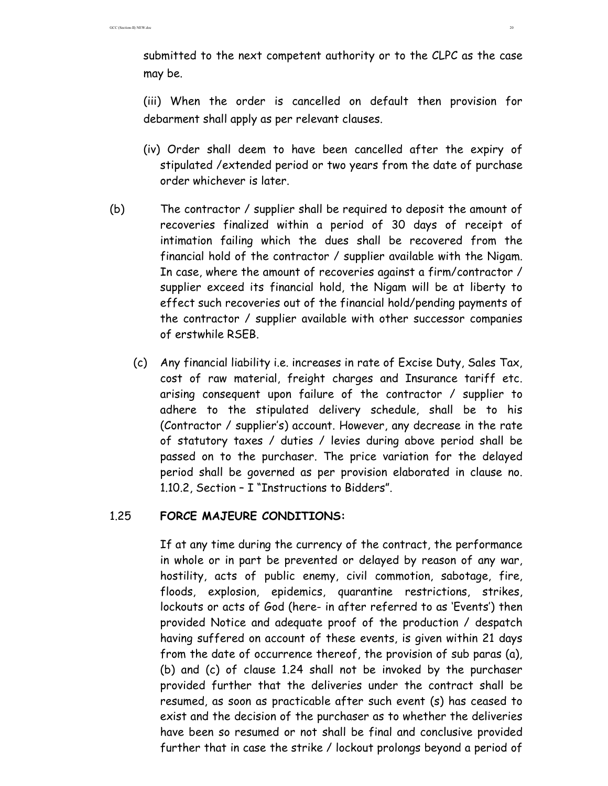submitted to the next competent authority or to the CLPC as the case may be.

(iii) When the order is cancelled on default then provision for debarment shall apply as per relevant clauses.

- (iv) Order shall deem to have been cancelled after the expiry of stipulated /extended period or two years from the date of purchase order whichever is later.
- (b) The contractor / supplier shall be required to deposit the amount of recoveries finalized within a period of 30 days of receipt of intimation failing which the dues shall be recovered from the financial hold of the contractor / supplier available with the Nigam. In case, where the amount of recoveries against a firm/contractor / supplier exceed its financial hold, the Nigam will be at liberty to effect such recoveries out of the financial hold/pending payments of the contractor / supplier available with other successor companies of erstwhile RSEB.
	- (c) Any financial liability i.e. increases in rate of Excise Duty, Sales Tax, cost of raw material, freight charges and Insurance tariff etc. arising consequent upon failure of the contractor / supplier to adhere to the stipulated delivery schedule, shall be to his (Contractor / supplier's) account. However, any decrease in the rate of statutory taxes / duties / levies during above period shall be passed on to the purchaser. The price variation for the delayed period shall be governed as per provision elaborated in clause no. 1.10.2, Section – I "Instructions to Bidders".

### 1.25 **FORCE MAJEURE CONDITIONS:**

If at any time during the currency of the contract, the performance in whole or in part be prevented or delayed by reason of any war, hostility, acts of public enemy, civil commotion, sabotage, fire, floods, explosion, epidemics, quarantine restrictions, strikes, lockouts or acts of God (here- in after referred to as 'Events') then provided Notice and adequate proof of the production / despatch having suffered on account of these events, is given within 21 days from the date of occurrence thereof, the provision of sub paras (a), (b) and (c) of clause 1.24 shall not be invoked by the purchaser provided further that the deliveries under the contract shall be resumed, as soon as practicable after such event (s) has ceased to exist and the decision of the purchaser as to whether the deliveries have been so resumed or not shall be final and conclusive provided further that in case the strike / lockout prolongs beyond a period of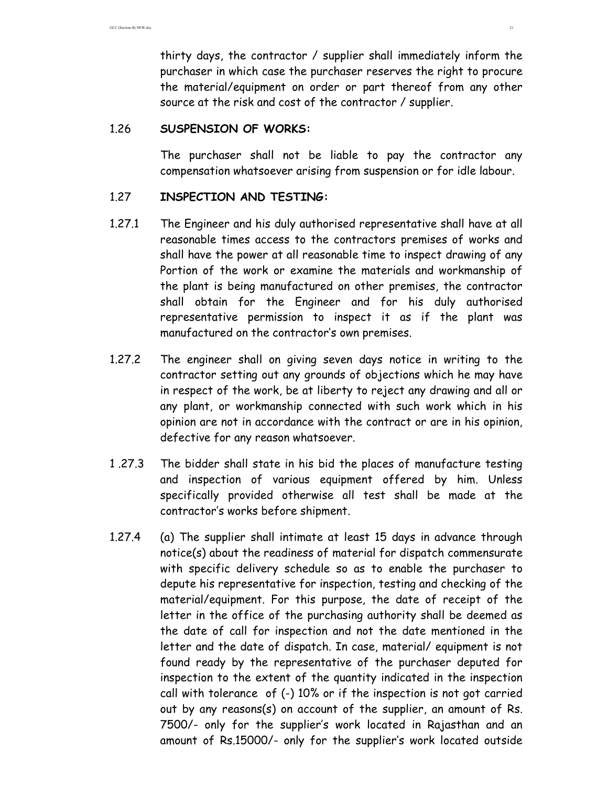thirty days, the contractor / supplier shall immediately inform the purchaser in which case the purchaser reserves the right to procure the material/equipment on order or part thereof from any other source at the risk and cost of the contractor / supplier.

### 1.26 **SUSPENSION OF WORKS:**

 The purchaser shall not be liable to pay the contractor any compensation whatsoever arising from suspension or for idle labour.

### 1.27 **INSPECTION AND TESTING:**

- 1.27.1 The Engineer and his duly authorised representative shall have at all reasonable times access to the contractors premises of works and shall have the power at all reasonable time to inspect drawing of any Portion of the work or examine the materials and workmanship of the plant is being manufactured on other premises, the contractor shall obtain for the Engineer and for his duly authorised representative permission to inspect it as if the plant was manufactured on the contractor's own premises.
- 1.27.2 The engineer shall on giving seven days notice in writing to the contractor setting out any grounds of objections which he may have in respect of the work, be at liberty to reject any drawing and all or any plant, or workmanship connected with such work which in his opinion are not in accordance with the contract or are in his opinion, defective for any reason whatsoever.
- 1 .27.3 The bidder shall state in his bid the places of manufacture testing and inspection of various equipment offered by him. Unless specifically provided otherwise all test shall be made at the contractor's works before shipment.
- 1.27.4 (a) The supplier shall intimate at least 15 days in advance through notice(s) about the readiness of material for dispatch commensurate with specific delivery schedule so as to enable the purchaser to depute his representative for inspection, testing and checking of the material/equipment. For this purpose, the date of receipt of the letter in the office of the purchasing authority shall be deemed as the date of call for inspection and not the date mentioned in the letter and the date of dispatch. In case, material/ equipment is not found ready by the representative of the purchaser deputed for inspection to the extent of the quantity indicated in the inspection call with tolerance of (-) 10% or if the inspection is not got carried out by any reasons(s) on account of the supplier, an amount of Rs. 7500/- only for the supplier's work located in Rajasthan and an amount of Rs.15000/- only for the supplier's work located outside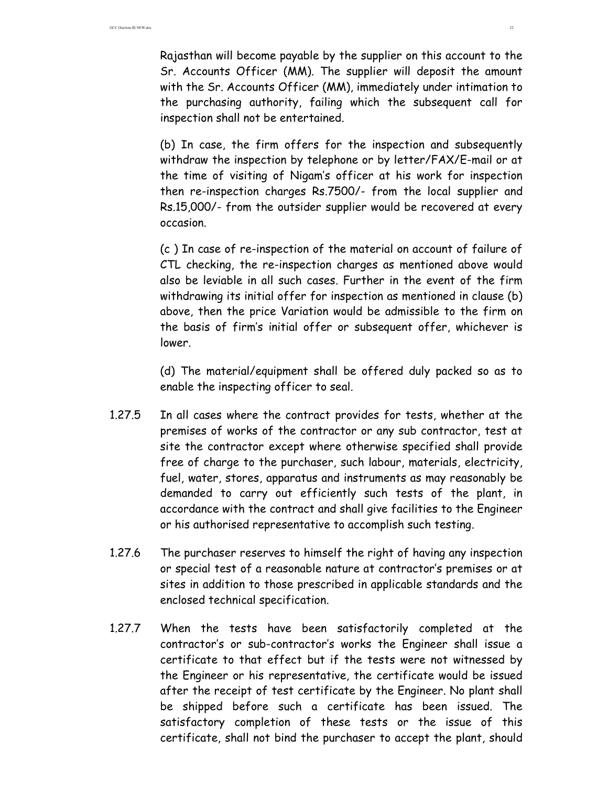Rajasthan will become payable by the supplier on this account to the Sr. Accounts Officer (MM). The supplier will deposit the amount with the Sr. Accounts Officer (MM), immediately under intimation to the purchasing authority, failing which the subsequent call for inspection shall not be entertained.

 (b) In case, the firm offers for the inspection and subsequently withdraw the inspection by telephone or by letter/FAX/E-mail or at the time of visiting of Nigam's officer at his work for inspection then re-inspection charges Rs.7500/- from the local supplier and Rs.15,000/- from the outsider supplier would be recovered at every occasion.

 (c ) In case of re-inspection of the material on account of failure of CTL checking, the re-inspection charges as mentioned above would also be leviable in all such cases. Further in the event of the firm withdrawing its initial offer for inspection as mentioned in clause (b) above, then the price Variation would be admissible to the firm on the basis of firm's initial offer or subsequent offer, whichever is lower.

 (d) The material/equipment shall be offered duly packed so as to enable the inspecting officer to seal.

- 1.27.5 In all cases where the contract provides for tests, whether at the premises of works of the contractor or any sub contractor, test at site the contractor except where otherwise specified shall provide free of charge to the purchaser, such labour, materials, electricity, fuel, water, stores, apparatus and instruments as may reasonably be demanded to carry out efficiently such tests of the plant, in accordance with the contract and shall give facilities to the Engineer or his authorised representative to accomplish such testing.
- 1.27.6 The purchaser reserves to himself the right of having any inspection or special test of a reasonable nature at contractor's premises or at sites in addition to those prescribed in applicable standards and the enclosed technical specification.
- 1.27.7 When the tests have been satisfactorily completed at the contractor's or sub-contractor's works the Engineer shall issue a certificate to that effect but if the tests were not witnessed by the Engineer or his representative, the certificate would be issued after the receipt of test certificate by the Engineer. No plant shall be shipped before such a certificate has been issued. The satisfactory completion of these tests or the issue of this certificate, shall not bind the purchaser to accept the plant, should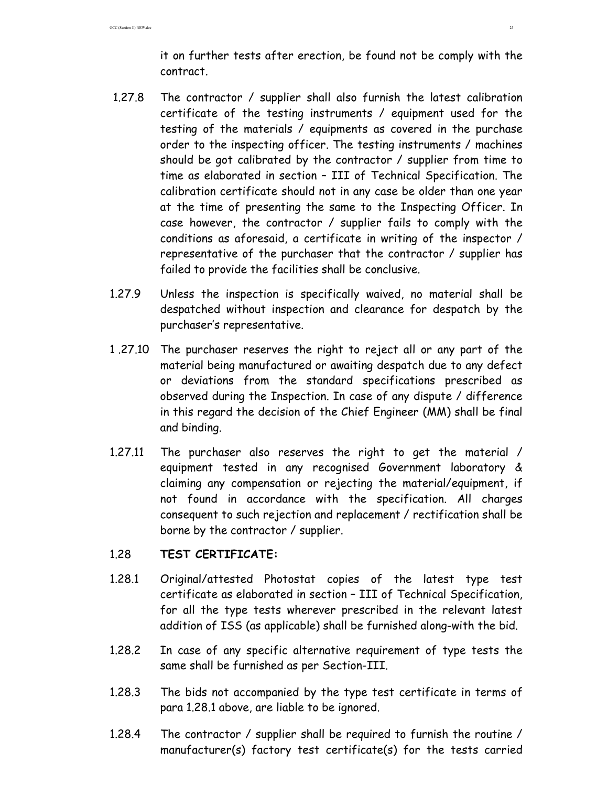it on further tests after erection, be found not be comply with the contract.

- 1.27.8 The contractor / supplier shall also furnish the latest calibration certificate of the testing instruments / equipment used for the testing of the materials / equipments as covered in the purchase order to the inspecting officer. The testing instruments / machines should be got calibrated by the contractor / supplier from time to time as elaborated in section – III of Technical Specification. The calibration certificate should not in any case be older than one year at the time of presenting the same to the Inspecting Officer. In case however, the contractor / supplier fails to comply with the conditions as aforesaid, a certificate in writing of the inspector / representative of the purchaser that the contractor / supplier has failed to provide the facilities shall be conclusive.
- 1.27.9 Unless the inspection is specifically waived, no material shall be despatched without inspection and clearance for despatch by the purchaser's representative.
- 1 .27.10 The purchaser reserves the right to reject all or any part of the material being manufactured or awaiting despatch due to any defect or deviations from the standard specifications prescribed as observed during the Inspection. In case of any dispute / difference in this regard the decision of the Chief Engineer (MM) shall be final and binding.
- 1.27.11 The purchaser also reserves the right to get the material / equipment tested in any recognised Government laboratory & claiming any compensation or rejecting the material/equipment, if not found in accordance with the specification. All charges consequent to such rejection and replacement / rectification shall be borne by the contractor / supplier.

### 1.28 **TEST CERTIFICATE:**

- 1.28.1 Original/attested Photostat copies of the latest type test certificate as elaborated in section – III of Technical Specification, for all the type tests wherever prescribed in the relevant latest addition of ISS (as applicable) shall be furnished along-with the bid.
- 1.28.2 In case of any specific alternative requirement of type tests the same shall be furnished as per Section-III.
- 1.28.3 The bids not accompanied by the type test certificate in terms of para 1.28.1 above, are liable to be ignored.
- 1.28.4 The contractor / supplier shall be required to furnish the routine / manufacturer(s) factory test certificate(s) for the tests carried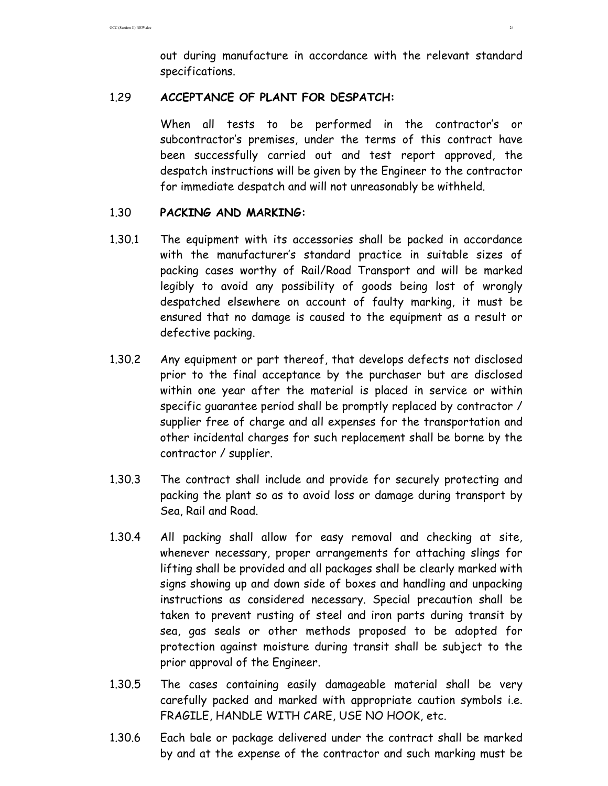out during manufacture in accordance with the relevant standard specifications.

### 1.29 **ACCEPTANCE OF PLANT FOR DESPATCH:**

 When all tests to be performed in the contractor's or subcontractor's premises, under the terms of this contract have been successfully carried out and test report approved, the despatch instructions will be given by the Engineer to the contractor for immediate despatch and will not unreasonably be withheld.

### 1.30 **PACKING AND MARKING:**

- 1.30.1 The equipment with its accessories shall be packed in accordance with the manufacturer's standard practice in suitable sizes of packing cases worthy of Rail/Road Transport and will be marked legibly to avoid any possibility of goods being lost of wrongly despatched elsewhere on account of faulty marking, it must be ensured that no damage is caused to the equipment as a result or defective packing.
- 1.30.2 Any equipment or part thereof, that develops defects not disclosed prior to the final acceptance by the purchaser but are disclosed within one year after the material is placed in service or within specific guarantee period shall be promptly replaced by contractor / supplier free of charge and all expenses for the transportation and other incidental charges for such replacement shall be borne by the contractor / supplier.
- 1.30.3 The contract shall include and provide for securely protecting and packing the plant so as to avoid loss or damage during transport by Sea, Rail and Road.
- 1.30.4 All packing shall allow for easy removal and checking at site, whenever necessary, proper arrangements for attaching slings for lifting shall be provided and all packages shall be clearly marked with signs showing up and down side of boxes and handling and unpacking instructions as considered necessary. Special precaution shall be taken to prevent rusting of steel and iron parts during transit by sea, gas seals or other methods proposed to be adopted for protection against moisture during transit shall be subject to the prior approval of the Engineer.
- 1.30.5 The cases containing easily damageable material shall be very carefully packed and marked with appropriate caution symbols i.e. FRAGILE, HANDLE WITH CARE, USE NO HOOK, etc.
- 1.30.6 Each bale or package delivered under the contract shall be marked by and at the expense of the contractor and such marking must be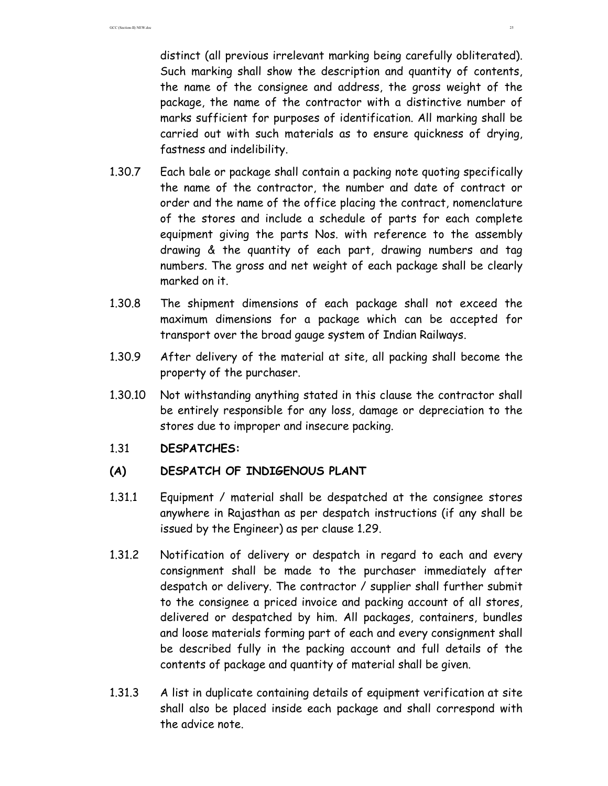distinct (all previous irrelevant marking being carefully obliterated). Such marking shall show the description and quantity of contents, the name of the consignee and address, the gross weight of the package, the name of the contractor with a distinctive number of marks sufficient for purposes of identification. All marking shall be carried out with such materials as to ensure quickness of drying, fastness and indelibility.

- 1.30.7 Each bale or package shall contain a packing note quoting specifically the name of the contractor, the number and date of contract or order and the name of the office placing the contract, nomenclature of the stores and include a schedule of parts for each complete equipment giving the parts Nos. with reference to the assembly drawing & the quantity of each part, drawing numbers and tag numbers. The gross and net weight of each package shall be clearly marked on it.
- 1.30.8 The shipment dimensions of each package shall not exceed the maximum dimensions for a package which can be accepted for transport over the broad gauge system of Indian Railways.
- 1.30.9 After delivery of the material at site, all packing shall become the property of the purchaser.
- 1.30.10 Not withstanding anything stated in this clause the contractor shall be entirely responsible for any loss, damage or depreciation to the stores due to improper and insecure packing.

### 1.31 **DESPATCHES:**

### **(A) DESPATCH OF INDIGENOUS PLANT**

- 1.31.1 Equipment / material shall be despatched at the consignee stores anywhere in Rajasthan as per despatch instructions (if any shall be issued by the Engineer) as per clause 1.29.
- 1.31.2 Notification of delivery or despatch in regard to each and every consignment shall be made to the purchaser immediately after despatch or delivery. The contractor / supplier shall further submit to the consignee a priced invoice and packing account of all stores, delivered or despatched by him. All packages, containers, bundles and loose materials forming part of each and every consignment shall be described fully in the packing account and full details of the contents of package and quantity of material shall be given.
- 1.31.3 A list in duplicate containing details of equipment verification at site shall also be placed inside each package and shall correspond with the advice note.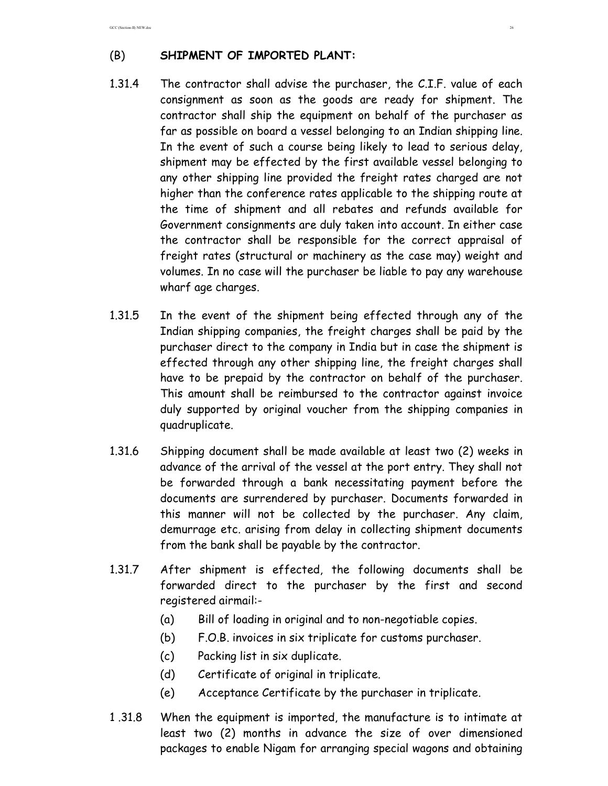GCC (Section-II) NEW.doc 26

# (B) **SHIPMENT OF IMPORTED PLANT:**

- 1.31.4 The contractor shall advise the purchaser, the C.I.F. value of each consignment as soon as the goods are ready for shipment. The contractor shall ship the equipment on behalf of the purchaser as far as possible on board a vessel belonging to an Indian shipping line. In the event of such a course being likely to lead to serious delay, shipment may be effected by the first available vessel belonging to any other shipping line provided the freight rates charged are not higher than the conference rates applicable to the shipping route at the time of shipment and all rebates and refunds available for Government consignments are duly taken into account. In either case the contractor shall be responsible for the correct appraisal of freight rates (structural or machinery as the case may) weight and volumes. In no case will the purchaser be liable to pay any warehouse wharf age charges.
- 1.31.5 In the event of the shipment being effected through any of the Indian shipping companies, the freight charges shall be paid by the purchaser direct to the company in India but in case the shipment is effected through any other shipping line, the freight charges shall have to be prepaid by the contractor on behalf of the purchaser. This amount shall be reimbursed to the contractor against invoice duly supported by original voucher from the shipping companies in quadruplicate.
- 1.31.6 Shipping document shall be made available at least two (2) weeks in advance of the arrival of the vessel at the port entry. They shall not be forwarded through a bank necessitating payment before the documents are surrendered by purchaser. Documents forwarded in this manner will not be collected by the purchaser. Any claim, demurrage etc. arising from delay in collecting shipment documents from the bank shall be payable by the contractor.
- 1.31.7 After shipment is effected, the following documents shall be forwarded direct to the purchaser by the first and second registered airmail:-
	- (a) Bill of loading in original and to non-negotiable copies.
	- (b) F.O.B. invoices in six triplicate for customs purchaser.
	- (c) Packing list in six duplicate.
	- (d) Certificate of original in triplicate.
	- (e) Acceptance Certificate by the purchaser in triplicate.
- 1 .31.8 When the equipment is imported, the manufacture is to intimate at least two (2) months in advance the size of over dimensioned packages to enable Nigam for arranging special wagons and obtaining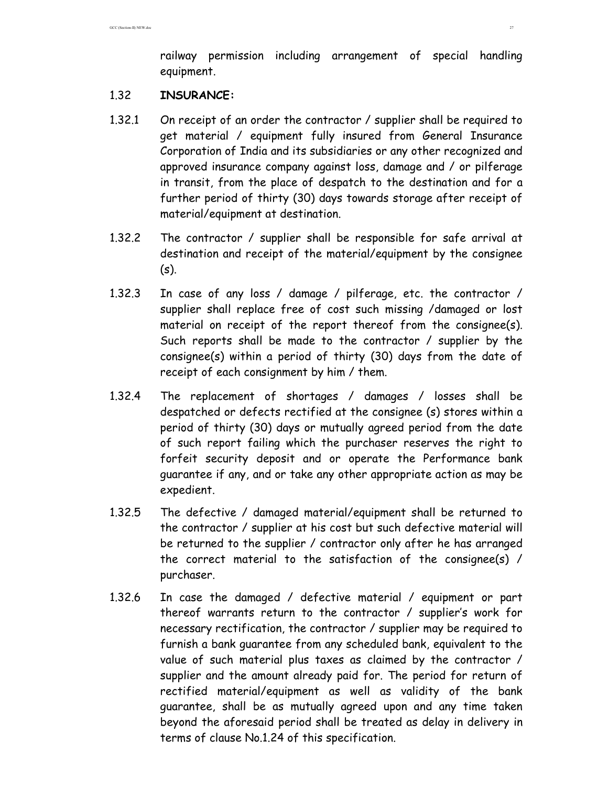railway permission including arrangement of special handling equipment.

### 1.32 **INSURANCE:**

- 1.32.1 On receipt of an order the contractor / supplier shall be required to get material / equipment fully insured from General Insurance Corporation of India and its subsidiaries or any other recognized and approved insurance company against loss, damage and / or pilferage in transit, from the place of despatch to the destination and for a further period of thirty (30) days towards storage after receipt of material/equipment at destination.
- 1.32.2 The contractor / supplier shall be responsible for safe arrival at destination and receipt of the material/equipment by the consignee (s).
- 1.32.3 In case of any loss / damage / pilferage, etc. the contractor / supplier shall replace free of cost such missing /damaged or lost material on receipt of the report thereof from the consignee(s). Such reports shall be made to the contractor / supplier by the consignee(s) within a period of thirty (30) days from the date of receipt of each consignment by him / them.
- 1.32.4 The replacement of shortages / damages / losses shall be despatched or defects rectified at the consignee (s) stores within a period of thirty (30) days or mutually agreed period from the date of such report failing which the purchaser reserves the right to forfeit security deposit and or operate the Performance bank guarantee if any, and or take any other appropriate action as may be expedient.
- 1.32.5 The defective / damaged material/equipment shall be returned to the contractor / supplier at his cost but such defective material will be returned to the supplier / contractor only after he has arranged the correct material to the satisfaction of the consignee(s) / purchaser.
- 1.32.6 In case the damaged / defective material / equipment or part thereof warrants return to the contractor / supplier's work for necessary rectification, the contractor / supplier may be required to furnish a bank guarantee from any scheduled bank, equivalent to the value of such material plus taxes as claimed by the contractor / supplier and the amount already paid for. The period for return of rectified material/equipment as well as validity of the bank guarantee, shall be as mutually agreed upon and any time taken beyond the aforesaid period shall be treated as delay in delivery in terms of clause No.1.24 of this specification.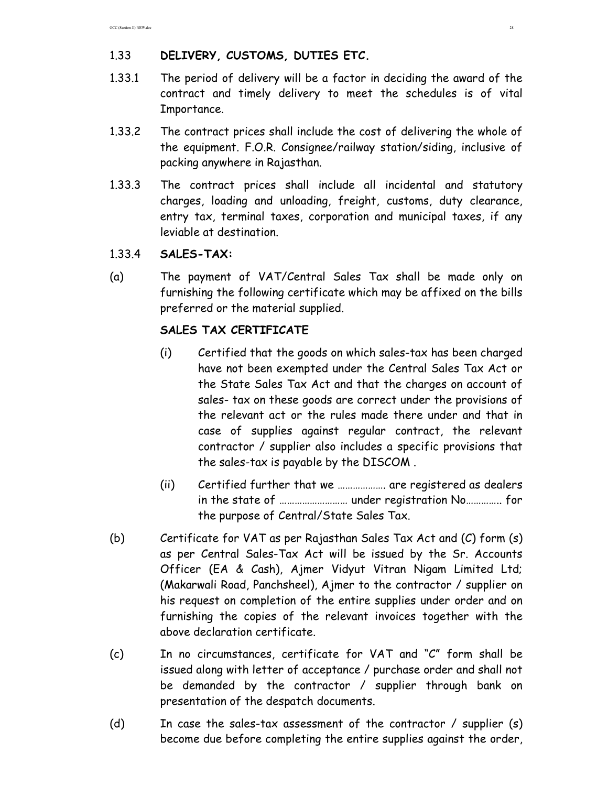# 1.33 **DELIVERY, CUSTOMS, DUTIES ETC.**

- 1.33.1 The period of delivery will be a factor in deciding the award of the contract and timely delivery to meet the schedules is of vital Importance.
- 1.33.2 The contract prices shall include the cost of delivering the whole of the equipment. F.O.R. Consignee/railway station/siding, inclusive of packing anywhere in Rajasthan.
- 1.33.3 The contract prices shall include all incidental and statutory charges, loading and unloading, freight, customs, duty clearance, entry tax, terminal taxes, corporation and municipal taxes, if any leviable at destination.
- 1.33.4 **SALES-TAX:**
- (a) The payment of VAT/Central Sales Tax shall be made only on furnishing the following certificate which may be affixed on the bills preferred or the material supplied.

# **SALES TAX CERTIFICATE**

- (i) Certified that the goods on which sales-tax has been charged have not been exempted under the Central Sales Tax Act or the State Sales Tax Act and that the charges on account of sales- tax on these goods are correct under the provisions of the relevant act or the rules made there under and that in case of supplies against regular contract, the relevant contractor / supplier also includes a specific provisions that the sales-tax is payable by the DISCOM .
- (ii) Certified further that we ………………. are registered as dealers in the state of ……………………… under registration No………….. for the purpose of Central/State Sales Tax.
- (b) Certificate for VAT as per Rajasthan Sales Tax Act and (C) form (s) as per Central Sales-Tax Act will be issued by the Sr. Accounts Officer (EA & Cash), Ajmer Vidyut Vitran Nigam Limited Ltd; (Makarwali Road, Panchsheel), Ajmer to the contractor / supplier on his request on completion of the entire supplies under order and on furnishing the copies of the relevant invoices together with the above declaration certificate.
- (c) In no circumstances, certificate for VAT and "C" form shall be issued along with letter of acceptance / purchase order and shall not be demanded by the contractor / supplier through bank on presentation of the despatch documents.
- (d) In case the sales-tax assessment of the contractor / supplier (s) become due before completing the entire supplies against the order,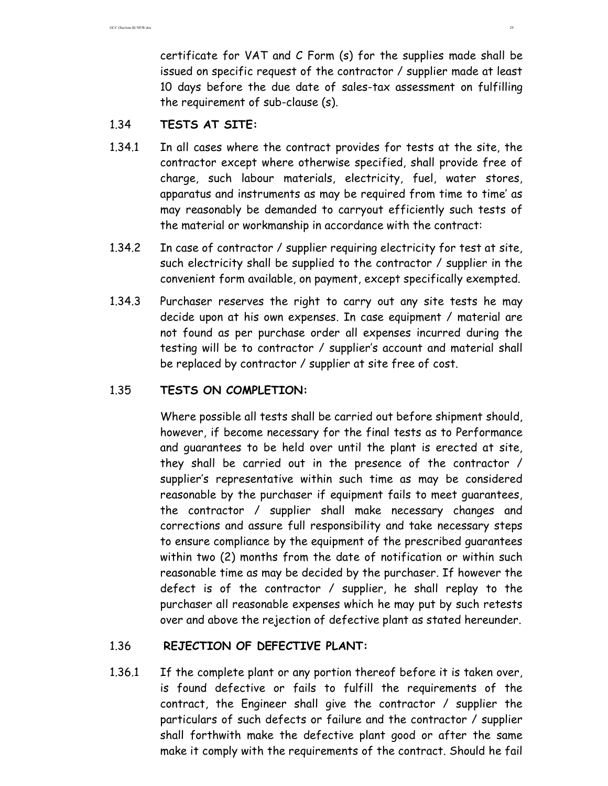certificate for VAT and C Form (s) for the supplies made shall be issued on specific request of the contractor / supplier made at least 10 days before the due date of sales-tax assessment on fulfilling the requirement of sub-clause (s).

## 1.34 **TESTS AT SITE:**

- 1.34.1 In all cases where the contract provides for tests at the site, the contractor except where otherwise specified, shall provide free of charge, such labour materials, electricity, fuel, water stores, apparatus and instruments as may be required from time to time' as may reasonably be demanded to carryout efficiently such tests of the material or workmanship in accordance with the contract:
- 1.34.2 In case of contractor / supplier requiring electricity for test at site, such electricity shall be supplied to the contractor / supplier in the convenient form available, on payment, except specifically exempted.
- 1.34.3 Purchaser reserves the right to carry out any site tests he may decide upon at his own expenses. In case equipment / material are not found as per purchase order all expenses incurred during the testing will be to contractor / supplier's account and material shall be replaced by contractor / supplier at site free of cost.

## 1.35 **TESTS ON COMPLETION:**

Where possible all tests shall be carried out before shipment should, however, if become necessary for the final tests as to Performance and guarantees to be held over until the plant is erected at site, they shall be carried out in the presence of the contractor / supplier's representative within such time as may be considered reasonable by the purchaser if equipment fails to meet guarantees, the contractor / supplier shall make necessary changes and corrections and assure full responsibility and take necessary steps to ensure compliance by the equipment of the prescribed guarantees within two (2) months from the date of notification or within such reasonable time as may be decided by the purchaser. If however the defect is of the contractor / supplier, he shall replay to the purchaser all reasonable expenses which he may put by such retests over and above the rejection of defective plant as stated hereunder.

### 1.36 **REJECTION OF DEFECTIVE PLANT:**

1.36.1 If the complete plant or any portion thereof before it is taken over, is found defective or fails to fulfill the requirements of the contract, the Engineer shall give the contractor / supplier the particulars of such defects or failure and the contractor / supplier shall forthwith make the defective plant good or after the same make it comply with the requirements of the contract. Should he fail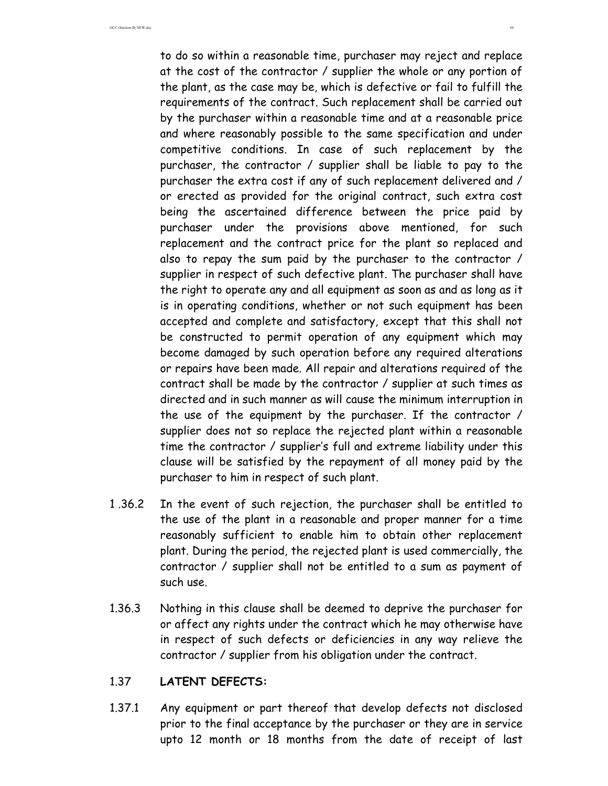to do so within a reasonable time, purchaser may reject and replace at the cost of the contractor / supplier the whole or any portion of the plant, as the case may be, which is defective or fail to fulfill the requirements of the contract. Such replacement shall be carried out by the purchaser within a reasonable time and at a reasonable price and where reasonably possible to the same specification and under competitive conditions. In case of such replacement by the purchaser, the contractor / supplier shall be liable to pay to the purchaser the extra cost if any of such replacement delivered and / or erected as provided for the original contract, such extra cost being the ascertained difference between the price paid by purchaser under the provisions above mentioned, for such replacement and the contract price for the plant so replaced and also to repay the sum paid by the purchaser to the contractor / supplier in respect of such defective plant. The purchaser shall have the right to operate any and all equipment as soon as and as long as it is in operating conditions, whether or not such equipment has been accepted and complete and satisfactory, except that this shall not be constructed to permit operation of any equipment which may become damaged by such operation before any required alterations or repairs have been made. All repair and alterations required of the contract shall be made by the contractor / supplier at such times as directed and in such manner as will cause the minimum interruption in the use of the equipment by the purchaser. If the contractor / supplier does not so replace the rejected plant within a reasonable time the contractor / supplier's full and extreme liability under this clause will be satisfied by the repayment of all money paid by the purchaser to him in respect of such plant.

- 1 .36.2 In the event of such rejection, the purchaser shall be entitled to the use of the plant in a reasonable and proper manner for a time reasonably sufficient to enable him to obtain other replacement plant. During the period, the rejected plant is used commercially, the contractor / supplier shall not be entitled to a sum as payment of such use.
- 1.36.3 Nothing in this clause shall be deemed to deprive the purchaser for or affect any rights under the contract which he may otherwise have in respect of such defects or deficiencies in any way relieve the contractor / supplier from his obligation under the contract.

### 1.37 **LATENT DEFECTS:**

1.37.1 Any equipment or part thereof that develop defects not disclosed prior to the final acceptance by the purchaser or they are in service upto 12 month or 18 months from the date of receipt of last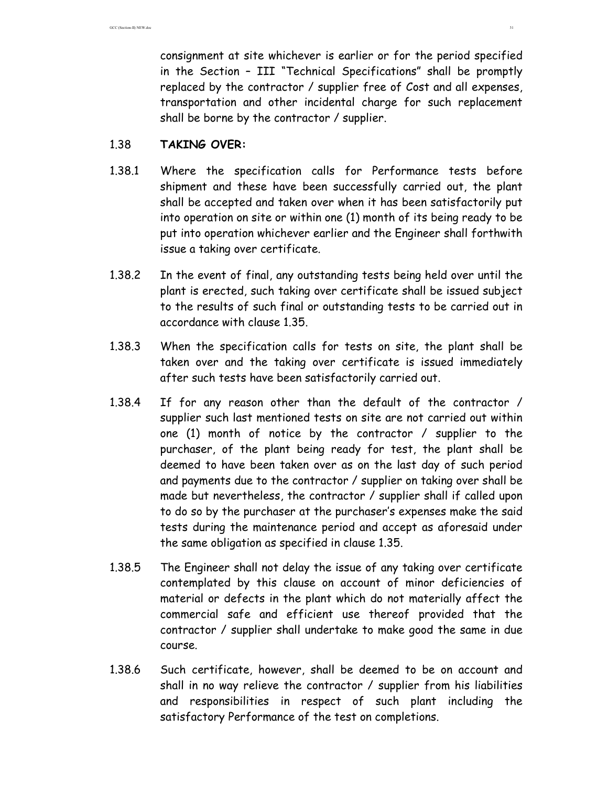consignment at site whichever is earlier or for the period specified in the Section – III "Technical Specifications" shall be promptly replaced by the contractor / supplier free of Cost and all expenses, transportation and other incidental charge for such replacement shall be borne by the contractor / supplier.

### 1.38 **TAKING OVER:**

- 1.38.1 Where the specification calls for Performance tests before shipment and these have been successfully carried out, the plant shall be accepted and taken over when it has been satisfactorily put into operation on site or within one (1) month of its being ready to be put into operation whichever earlier and the Engineer shall forthwith issue a taking over certificate.
- 1.38.2 In the event of final, any outstanding tests being held over until the plant is erected, such taking over certificate shall be issued subject to the results of such final or outstanding tests to be carried out in accordance with clause 1.35.
- 1.38.3 When the specification calls for tests on site, the plant shall be taken over and the taking over certificate is issued immediately after such tests have been satisfactorily carried out.
- 1.38.4 If for any reason other than the default of the contractor / supplier such last mentioned tests on site are not carried out within one (1) month of notice by the contractor / supplier to the purchaser, of the plant being ready for test, the plant shall be deemed to have been taken over as on the last day of such period and payments due to the contractor / supplier on taking over shall be made but nevertheless, the contractor / supplier shall if called upon to do so by the purchaser at the purchaser's expenses make the said tests during the maintenance period and accept as aforesaid under the same obligation as specified in clause 1.35.
- 1.38.5 The Engineer shall not delay the issue of any taking over certificate contemplated by this clause on account of minor deficiencies of material or defects in the plant which do not materially affect the commercial safe and efficient use thereof provided that the contractor / supplier shall undertake to make good the same in due course.
- 1.38.6 Such certificate, however, shall be deemed to be on account and shall in no way relieve the contractor / supplier from his liabilities and responsibilities in respect of such plant including the satisfactory Performance of the test on completions.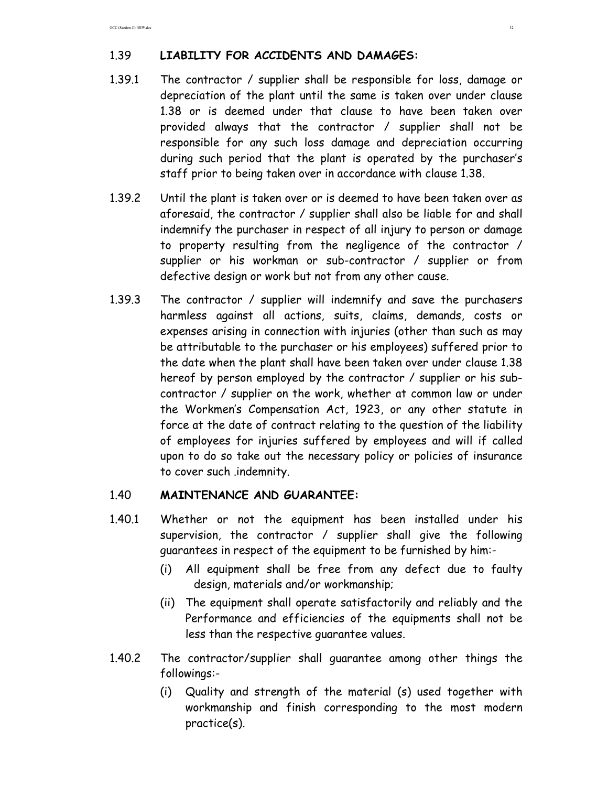## 1.39 **LIABILITY FOR ACCIDENTS AND DAMAGES:**

- 1.39.1 The contractor / supplier shall be responsible for loss, damage or depreciation of the plant until the same is taken over under clause 1.38 or is deemed under that clause to have been taken over provided always that the contractor / supplier shall not be responsible for any such loss damage and depreciation occurring during such period that the plant is operated by the purchaser's staff prior to being taken over in accordance with clause 1.38.
- 1.39.2 Until the plant is taken over or is deemed to have been taken over as aforesaid, the contractor / supplier shall also be liable for and shall indemnify the purchaser in respect of all injury to person or damage to property resulting from the negligence of the contractor / supplier or his workman or sub-contractor / supplier or from defective design or work but not from any other cause.
- 1.39.3 The contractor / supplier will indemnify and save the purchasers harmless against all actions, suits, claims, demands, costs or expenses arising in connection with injuries (other than such as may be attributable to the purchaser or his employees) suffered prior to the date when the plant shall have been taken over under clause 1.38 hereof by person employed by the contractor / supplier or his subcontractor / supplier on the work, whether at common law or under the Workmen's Compensation Act, 1923, or any other statute in force at the date of contract relating to the question of the liability of employees for injuries suffered by employees and will if called upon to do so take out the necessary policy or policies of insurance to cover such .indemnity.

### 1.40 **MAINTENANCE AND GUARANTEE:**

- 1.40.1 Whether or not the equipment has been installed under his supervision, the contractor / supplier shall give the following guarantees in respect of the equipment to be furnished by him:-
	- (i) All equipment shall be free from any defect due to faulty design, materials and/or workmanship;
	- (ii) The equipment shall operate satisfactorily and reliably and the Performance and efficiencies of the equipments shall not be less than the respective guarantee values.
- 1.40.2 The contractor/supplier shall guarantee among other things the followings:-
	- (i) Quality and strength of the material (s) used together with workmanship and finish corresponding to the most modern practice(s).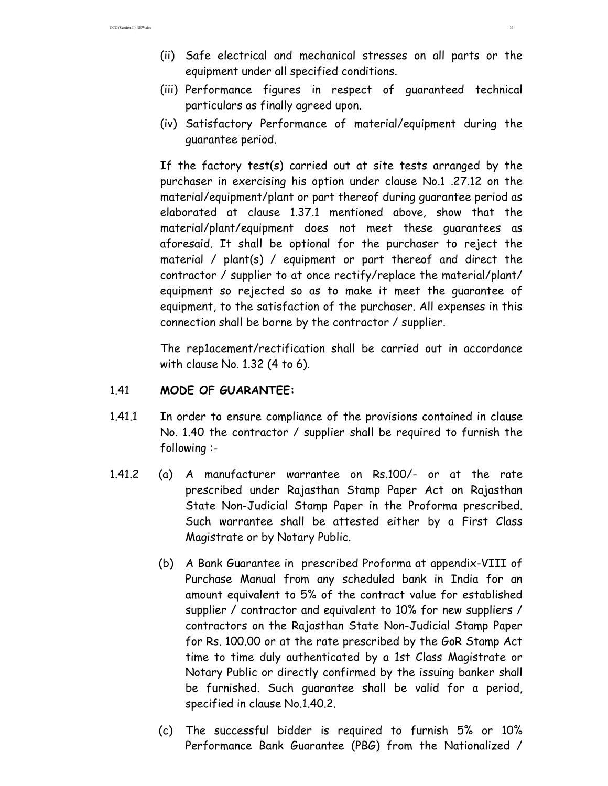- (ii) Safe electrical and mechanical stresses on all parts or the equipment under all specified conditions.
- (iii) Performance figures in respect of guaranteed technical particulars as finally agreed upon.
- (iv) Satisfactory Performance of material/equipment during the guarantee period.

If the factory test(s) carried out at site tests arranged by the purchaser in exercising his option under clause No.1 .27.12 on the material/equipment/plant or part thereof during guarantee period as elaborated at clause 1.37.1 mentioned above, show that the material/plant/equipment does not meet these guarantees as aforesaid. It shall be optional for the purchaser to reject the material / plant(s) / equipment or part thereof and direct the contractor / supplier to at once rectify/replace the material/plant/ equipment so rejected so as to make it meet the guarantee of equipment, to the satisfaction of the purchaser. All expenses in this connection shall be borne by the contractor / supplier.

The rep1acement/rectification shall be carried out in accordance with clause No. 1.32 (4 to 6).

### 1.41 **MODE OF GUARANTEE:**

- 1.41.1 In order to ensure compliance of the provisions contained in clause No. 1.40 the contractor / supplier shall be required to furnish the following :-
- 1.41.2 (a) A manufacturer warrantee on Rs.100/- or at the rate prescribed under Rajasthan Stamp Paper Act on Rajasthan State Non-Judicial Stamp Paper in the Proforma prescribed. Such warrantee shall be attested either by a First Class Magistrate or by Notary Public.
	- (b) A Bank Guarantee in prescribed Proforma at appendix-VIII of Purchase Manual from any scheduled bank in India for an amount equivalent to 5% of the contract value for established supplier / contractor and equivalent to 10% for new suppliers / contractors on the Rajasthan State Non-Judicial Stamp Paper for Rs. 100.00 or at the rate prescribed by the GoR Stamp Act time to time duly authenticated by a 1st Class Magistrate or Notary Public or directly confirmed by the issuing banker shall be furnished. Such guarantee shall be valid for a period, specified in clause No.1.40.2.
	- (c) The successful bidder is required to furnish 5% or 10% Performance Bank Guarantee (PBG) from the Nationalized /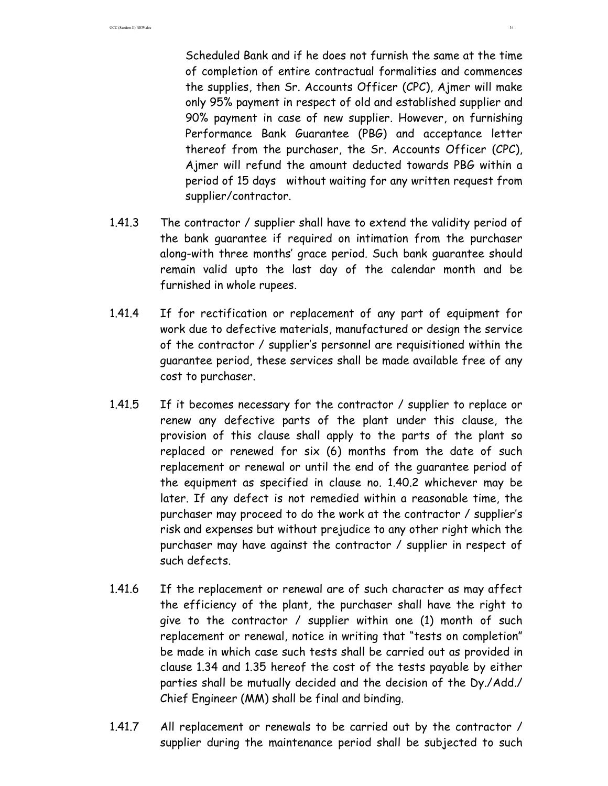Scheduled Bank and if he does not furnish the same at the time of completion of entire contractual formalities and commences the supplies, then Sr. Accounts Officer (CPC), Ajmer will make only 95% payment in respect of old and established supplier and 90% payment in case of new supplier. However, on furnishing Performance Bank Guarantee (PBG) and acceptance letter thereof from the purchaser, the Sr. Accounts Officer (CPC), Ajmer will refund the amount deducted towards PBG within a period of 15 days without waiting for any written request from supplier/contractor.

- 1.41.3 The contractor / supplier shall have to extend the validity period of the bank guarantee if required on intimation from the purchaser along-with three months' grace period. Such bank guarantee should remain valid upto the last day of the calendar month and be furnished in whole rupees.
- 1.41.4 If for rectification or replacement of any part of equipment for work due to defective materials, manufactured or design the service of the contractor / supplier's personnel are requisitioned within the guarantee period, these services shall be made available free of any cost to purchaser.
- 1.41.5 If it becomes necessary for the contractor / supplier to replace or renew any defective parts of the plant under this clause, the provision of this clause shall apply to the parts of the plant so replaced or renewed for six (6) months from the date of such replacement or renewal or until the end of the guarantee period of the equipment as specified in clause no. 1.40.2 whichever may be later. If any defect is not remedied within a reasonable time, the purchaser may proceed to do the work at the contractor / supplier's risk and expenses but without prejudice to any other right which the purchaser may have against the contractor / supplier in respect of such defects.
- 1.41.6 If the replacement or renewal are of such character as may affect the efficiency of the plant, the purchaser shall have the right to give to the contractor / supplier within one (1) month of such replacement or renewal, notice in writing that "tests on completion" be made in which case such tests shall be carried out as provided in clause 1.34 and 1.35 hereof the cost of the tests payable by either parties shall be mutually decided and the decision of the Dy./Add./ Chief Engineer (MM) shall be final and binding.
- 1.41.7 All replacement or renewals to be carried out by the contractor / supplier during the maintenance period shall be subjected to such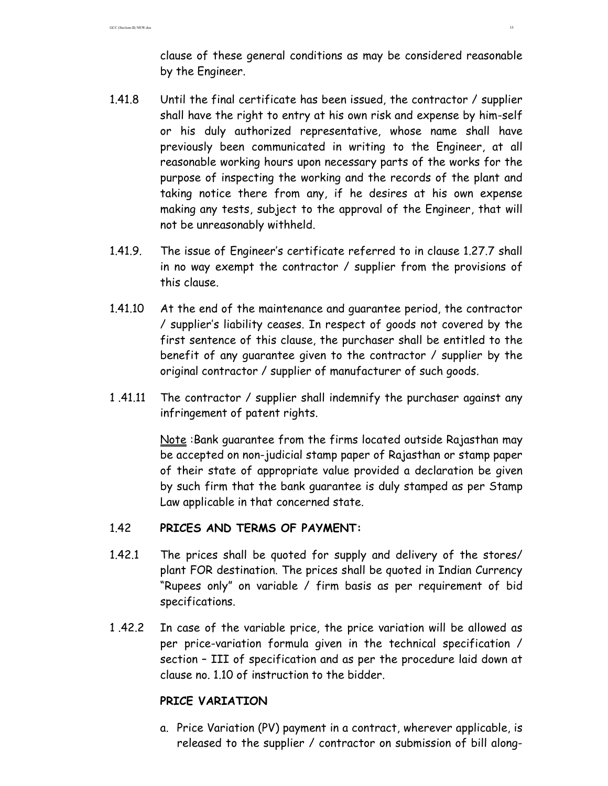clause of these general conditions as may be considered reasonable by the Engineer.

- 1.41.8 Until the final certificate has been issued, the contractor / supplier shall have the right to entry at his own risk and expense by him-self or his duly authorized representative, whose name shall have previously been communicated in writing to the Engineer, at all reasonable working hours upon necessary parts of the works for the purpose of inspecting the working and the records of the plant and taking notice there from any, if he desires at his own expense making any tests, subject to the approval of the Engineer, that will not be unreasonably withheld.
- 1.41.9. The issue of Engineer's certificate referred to in clause 1.27.7 shall in no way exempt the contractor / supplier from the provisions of this clause.
- 1.41.10 At the end of the maintenance and guarantee period, the contractor / supplier's liability ceases. In respect of goods not covered by the first sentence of this clause, the purchaser shall be entitled to the benefit of any guarantee given to the contractor / supplier by the original contractor / supplier of manufacturer of such goods.
- 1 .41.11 The contractor / supplier shall indemnify the purchaser against any infringement of patent rights.

Note :Bank guarantee from the firms located outside Rajasthan may be accepted on non-judicial stamp paper of Rajasthan or stamp paper of their state of appropriate value provided a declaration be given by such firm that the bank guarantee is duly stamped as per Stamp Law applicable in that concerned state.

# 1.42 **PRICES AND TERMS OF PAYMENT:**

- 1.42.1 The prices shall be quoted for supply and delivery of the stores/ plant FOR destination. The prices shall be quoted in Indian Currency "Rupees only" on variable / firm basis as per requirement of bid specifications.
- 1 .42.2 In case of the variable price, the price variation will be allowed as per price-variation formula given in the technical specification / section – III of specification and as per the procedure laid down at clause no. 1.10 of instruction to the bidder.

### **PRICE VARIATION**

a. Price Variation (PV) payment in a contract, wherever applicable, is released to the supplier / contractor on submission of bill along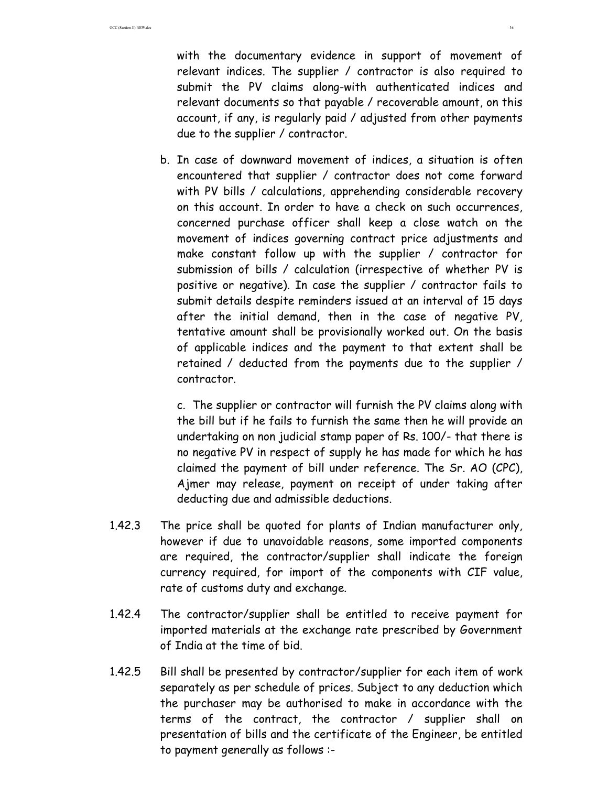with the documentary evidence in support of movement of relevant indices. The supplier / contractor is also required to submit the PV claims along-with authenticated indices and relevant documents so that payable / recoverable amount, on this account, if any, is regularly paid / adjusted from other payments due to the supplier / contractor.

b. In case of downward movement of indices, a situation is often encountered that supplier / contractor does not come forward with PV bills / calculations, apprehending considerable recovery on this account. In order to have a check on such occurrences, concerned purchase officer shall keep a close watch on the movement of indices governing contract price adjustments and make constant follow up with the supplier / contractor for submission of bills / calculation (irrespective of whether PV is positive or negative). In case the supplier / contractor fails to submit details despite reminders issued at an interval of 15 days after the initial demand, then in the case of negative PV, tentative amount shall be provisionally worked out. On the basis of applicable indices and the payment to that extent shall be retained / deducted from the payments due to the supplier / contractor.

c. The supplier or contractor will furnish the PV claims along with the bill but if he fails to furnish the same then he will provide an undertaking on non judicial stamp paper of Rs. 100/- that there is no negative PV in respect of supply he has made for which he has claimed the payment of bill under reference. The Sr. AO (CPC), Ajmer may release, payment on receipt of under taking after deducting due and admissible deductions.

- 1.42.3 The price shall be quoted for plants of Indian manufacturer only, however if due to unavoidable reasons, some imported components are required, the contractor/supplier shall indicate the foreign currency required, for import of the components with CIF value, rate of customs duty and exchange.
- 1.42.4 The contractor/supplier shall be entitled to receive payment for imported materials at the exchange rate prescribed by Government of India at the time of bid.
- 1.42.5 Bill shall be presented by contractor/supplier for each item of work separately as per schedule of prices. Subject to any deduction which the purchaser may be authorised to make in accordance with the terms of the contract, the contractor / supplier shall on presentation of bills and the certificate of the Engineer, be entitled to payment generally as follows :-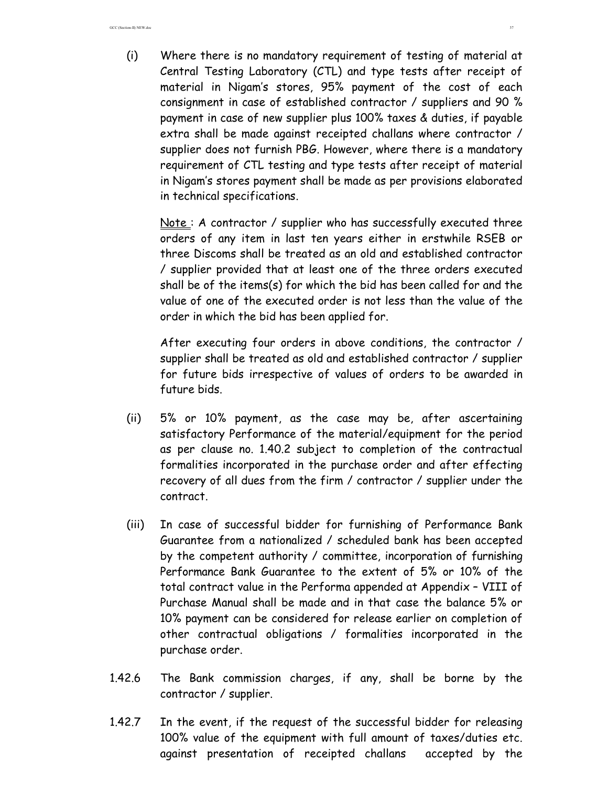(i) Where there is no mandatory requirement of testing of material at Central Testing Laboratory (CTL) and type tests after receipt of material in Nigam's stores, 95% payment of the cost of each consignment in case of established contractor / suppliers and 90 % payment in case of new supplier plus 100% taxes & duties, if payable extra shall be made against receipted challans where contractor / supplier does not furnish PBG. However, where there is a mandatory requirement of CTL testing and type tests after receipt of material in Nigam's stores payment shall be made as per provisions elaborated in technical specifications.

Note: A contractor / supplier who has successfully executed three orders of any item in last ten years either in erstwhile RSEB or three Discoms shall be treated as an old and established contractor / supplier provided that at least one of the three orders executed shall be of the items(s) for which the bid has been called for and the value of one of the executed order is not less than the value of the order in which the bid has been applied for.

After executing four orders in above conditions, the contractor / supplier shall be treated as old and established contractor / supplier for future bids irrespective of values of orders to be awarded in future bids.

- (ii) 5% or 10% payment, as the case may be, after ascertaining satisfactory Performance of the material/equipment for the period as per clause no. 1.40.2 subject to completion of the contractual formalities incorporated in the purchase order and after effecting recovery of all dues from the firm / contractor / supplier under the contract.
- (iii) In case of successful bidder for furnishing of Performance Bank Guarantee from a nationalized / scheduled bank has been accepted by the competent authority / committee, incorporation of furnishing Performance Bank Guarantee to the extent of 5% or 10% of the total contract value in the Performa appended at Appendix – VIII of Purchase Manual shall be made and in that case the balance 5% or 10% payment can be considered for release earlier on completion of other contractual obligations / formalities incorporated in the purchase order.
- 1.42.6 The Bank commission charges, if any, shall be borne by the contractor / supplier.
- 1.42.7 In the event, if the request of the successful bidder for releasing 100% value of the equipment with full amount of taxes/duties etc. against presentation of receipted challans accepted by the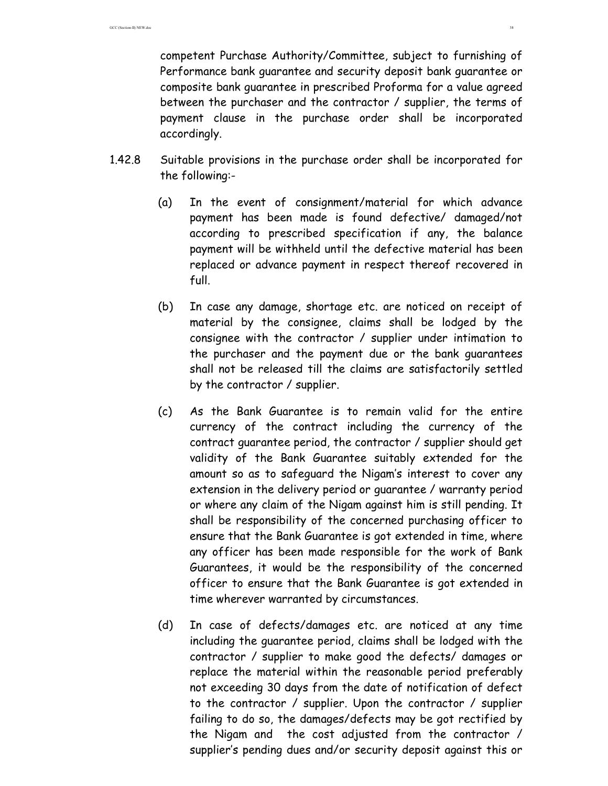competent Purchase Authority/Committee, subject to furnishing of Performance bank guarantee and security deposit bank guarantee or composite bank guarantee in prescribed Proforma for a value agreed between the purchaser and the contractor / supplier, the terms of payment clause in the purchase order shall be incorporated accordingly.

- 1.42.8 Suitable provisions in the purchase order shall be incorporated for the following:-
	- (a) In the event of consignment/material for which advance payment has been made is found defective/ damaged/not according to prescribed specification if any, the balance payment will be withheld until the defective material has been replaced or advance payment in respect thereof recovered in full.
	- (b) In case any damage, shortage etc. are noticed on receipt of material by the consignee, claims shall be lodged by the consignee with the contractor / supplier under intimation to the purchaser and the payment due or the bank guarantees shall not be released till the claims are satisfactorily settled by the contractor / supplier.
	- (c) As the Bank Guarantee is to remain valid for the entire currency of the contract including the currency of the contract guarantee period, the contractor / supplier should get validity of the Bank Guarantee suitably extended for the amount so as to safeguard the Nigam's interest to cover any extension in the delivery period or guarantee / warranty period or where any claim of the Nigam against him is still pending. It shall be responsibility of the concerned purchasing officer to ensure that the Bank Guarantee is got extended in time, where any officer has been made responsible for the work of Bank Guarantees, it would be the responsibility of the concerned officer to ensure that the Bank Guarantee is got extended in time wherever warranted by circumstances.
	- (d) In case of defects/damages etc. are noticed at any time including the guarantee period, claims shall be lodged with the contractor / supplier to make good the defects/ damages or replace the material within the reasonable period preferably not exceeding 30 days from the date of notification of defect to the contractor / supplier. Upon the contractor / supplier failing to do so, the damages/defects may be got rectified by the Nigam and the cost adjusted from the contractor / supplier's pending dues and/or security deposit against this or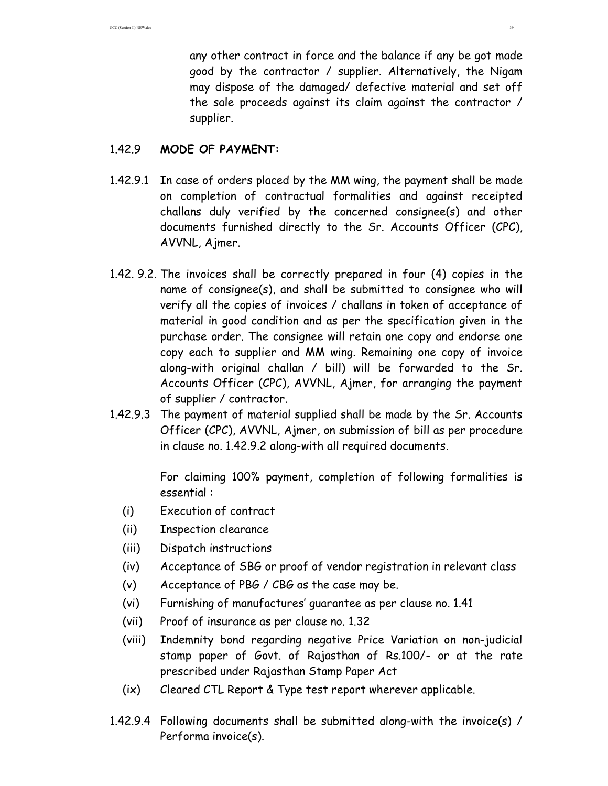any other contract in force and the balance if any be got made good by the contractor / supplier. Alternatively, the Nigam may dispose of the damaged/ defective material and set off the sale proceeds against its claim against the contractor / supplier.

### 1.42.9 **MODE OF PAYMENT:**

- 1.42.9.1 In case of orders placed by the MM wing, the payment shall be made on completion of contractual formalities and against receipted challans duly verified by the concerned consignee(s) and other documents furnished directly to the Sr. Accounts Officer (CPC), AVVNL, Ajmer.
- 1.42. 9.2. The invoices shall be correctly prepared in four (4) copies in the name of consignee(s), and shall be submitted to consignee who will verify all the copies of invoices / challans in token of acceptance of material in good condition and as per the specification given in the purchase order. The consignee will retain one copy and endorse one copy each to supplier and MM wing. Remaining one copy of invoice along-with original challan / bill) will be forwarded to the Sr. Accounts Officer (CPC), AVVNL, Ajmer, for arranging the payment of supplier / contractor.
- 1.42.9.3 The payment of material supplied shall be made by the Sr. Accounts Officer (CPC), AVVNL, Ajmer, on submission of bill as per procedure in clause no. 1.42.9.2 along-with all required documents.

 For claiming 100% payment, completion of following formalities is essential :

- (i) Execution of contract
- (ii) Inspection clearance
- (iii) Dispatch instructions
- (iv) Acceptance of SBG or proof of vendor registration in relevant class
- (v) Acceptance of PBG / CBG as the case may be.
- (vi) Furnishing of manufactures' guarantee as per clause no. 1.41
- (vii) Proof of insurance as per clause no. 1.32
- (viii) Indemnity bond regarding negative Price Variation on non-judicial stamp paper of Govt. of Rajasthan of Rs.100/- or at the rate prescribed under Rajasthan Stamp Paper Act
- (ix) Cleared CTL Report & Type test report wherever applicable.
- 1.42.9.4 Following documents shall be submitted along-with the invoice(s) / Performa invoice(s).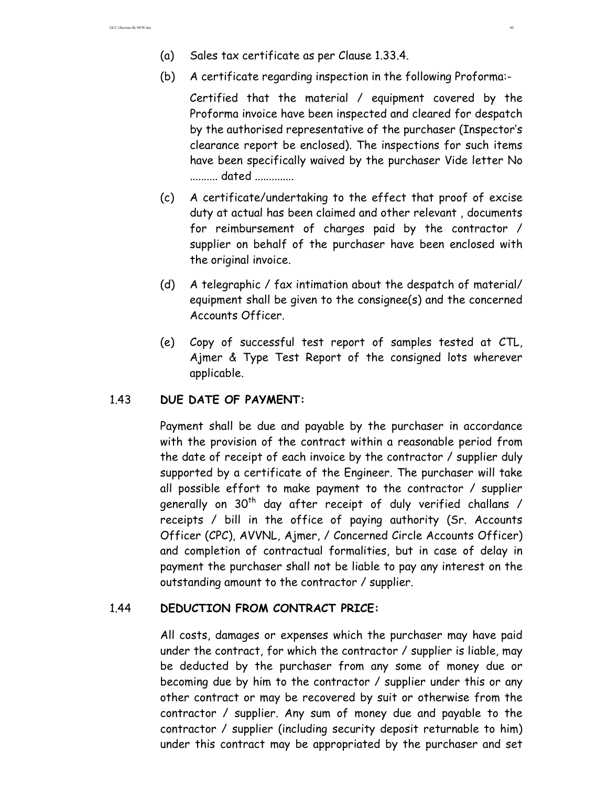- (a) Sales tax certificate as per Clause 1.33.4.
- (b) A certificate regarding inspection in the following Proforma:-

 Certified that the material / equipment covered by the Proforma invoice have been inspected and cleared for despatch by the authorised representative of the purchaser (Inspector's clearance report be enclosed). The inspections for such items have been specifically waived by the purchaser Vide letter No .......... dated ..............

- (c) A certificate/undertaking to the effect that proof of excise duty at actual has been claimed and other relevant , documents for reimbursement of charges paid by the contractor / supplier on behalf of the purchaser have been enclosed with the original invoice.
- (d) A telegraphic / fax intimation about the despatch of material/ equipment shall be given to the consignee(s) and the concerned Accounts Officer.
- (e) Copy of successful test report of samples tested at CTL, Ajmer & Type Test Report of the consigned lots wherever applicable.

## 1.43 **DUE DATE OF PAYMENT:**

Payment shall be due and payable by the purchaser in accordance with the provision of the contract within a reasonable period from the date of receipt of each invoice by the contractor / supplier duly supported by a certificate of the Engineer. The purchaser will take all possible effort to make payment to the contractor / supplier generally on  $30<sup>th</sup>$  day after receipt of duly verified challans / receipts / bill in the office of paying authority (Sr. Accounts Officer (CPC), AVVNL, Ajmer, / Concerned Circle Accounts Officer) and completion of contractual formalities, but in case of delay in payment the purchaser shall not be liable to pay any interest on the outstanding amount to the contractor / supplier.

# 1.44 **DEDUCTION FROM CONTRACT PRICE:**

All costs, damages or expenses which the purchaser may have paid under the contract, for which the contractor / supplier is liable, may be deducted by the purchaser from any some of money due or becoming due by him to the contractor / supplier under this or any other contract or may be recovered by suit or otherwise from the contractor / supplier. Any sum of money due and payable to the contractor / supplier (including security deposit returnable to him) under this contract may be appropriated by the purchaser and set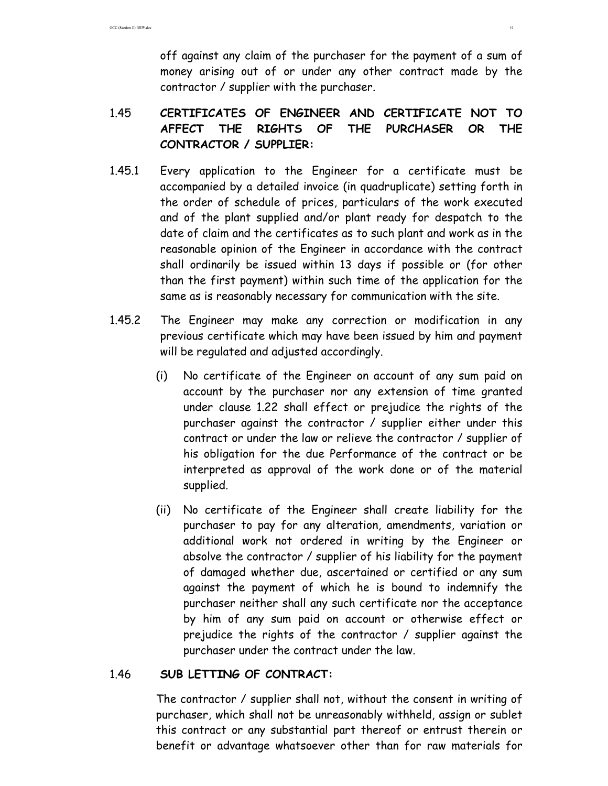off against any claim of the purchaser for the payment of a sum of money arising out of or under any other contract made by the contractor / supplier with the purchaser.

# 1.45 **CERTIFICATES OF ENGINEER AND CERTIFICATE NOT TO AFFECT THE RIGHTS OF THE PURCHASER OR THE CONTRACTOR / SUPPLIER:**

- 1.45.1 Every application to the Engineer for a certificate must be accompanied by a detailed invoice (in quadruplicate) setting forth in the order of schedule of prices, particulars of the work executed and of the plant supplied and/or plant ready for despatch to the date of claim and the certificates as to such plant and work as in the reasonable opinion of the Engineer in accordance with the contract shall ordinarily be issued within 13 days if possible or (for other than the first payment) within such time of the application for the same as is reasonably necessary for communication with the site.
- 1.45.2 The Engineer may make any correction or modification in any previous certificate which may have been issued by him and payment will be regulated and adjusted accordingly.
	- (i) No certificate of the Engineer on account of any sum paid on account by the purchaser nor any extension of time granted under clause 1.22 shall effect or prejudice the rights of the purchaser against the contractor / supplier either under this contract or under the law or relieve the contractor / supplier of his obligation for the due Performance of the contract or be interpreted as approval of the work done or of the material supplied.
	- (ii) No certificate of the Engineer shall create liability for the purchaser to pay for any alteration, amendments, variation or additional work not ordered in writing by the Engineer or absolve the contractor / supplier of his liability for the payment of damaged whether due, ascertained or certified or any sum against the payment of which he is bound to indemnify the purchaser neither shall any such certificate nor the acceptance by him of any sum paid on account or otherwise effect or prejudice the rights of the contractor / supplier against the purchaser under the contract under the law.

### 1.46 **SUB LETTING OF CONTRACT:**

 The contractor / supplier shall not, without the consent in writing of purchaser, which shall not be unreasonably withheld, assign or sublet this contract or any substantial part thereof or entrust therein or benefit or advantage whatsoever other than for raw materials for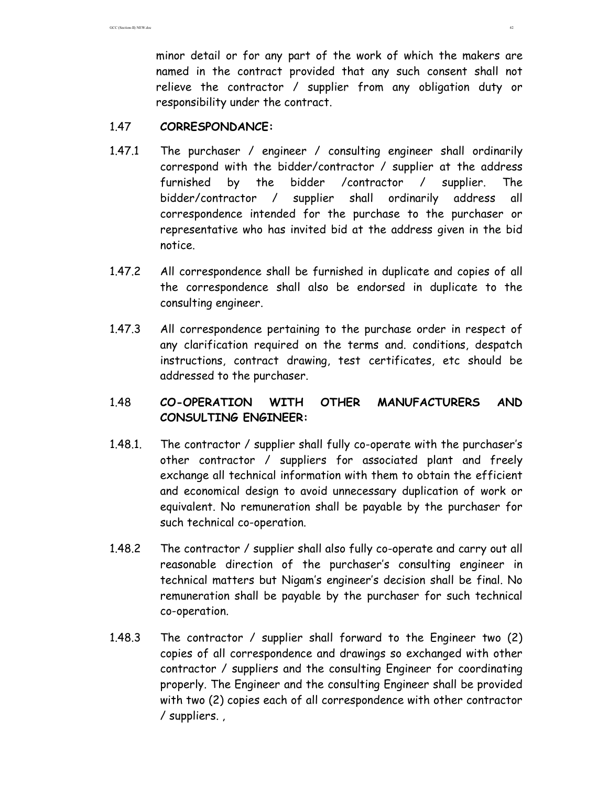minor detail or for any part of the work of which the makers are named in the contract provided that any such consent shall not relieve the contractor / supplier from any obligation duty or responsibility under the contract.

### 1.47 **CORRESPONDANCE:**

- 1.47.1 The purchaser / engineer / consulting engineer shall ordinarily correspond with the bidder/contractor / supplier at the address furnished by the bidder /contractor / supplier. The bidder/contractor / supplier shall ordinarily address all correspondence intended for the purchase to the purchaser or representative who has invited bid at the address given in the bid notice.
- 1.47.2 All correspondence shall be furnished in duplicate and copies of all the correspondence shall also be endorsed in duplicate to the consulting engineer.
- 1.47.3 All correspondence pertaining to the purchase order in respect of any clarification required on the terms and. conditions, despatch instructions, contract drawing, test certificates, etc should be addressed to the purchaser.

# 1.48 **CO-OPERATION WITH OTHER MANUFACTURERS AND CONSULTING ENGINEER:**

- 1.48.1. The contractor / supplier shall fully co-operate with the purchaser's other contractor / suppliers for associated plant and freely exchange all technical information with them to obtain the efficient and economical design to avoid unnecessary duplication of work or equivalent. No remuneration shall be payable by the purchaser for such technical co-operation.
- 1.48.2 The contractor / supplier shall also fully co-operate and carry out all reasonable direction of the purchaser's consulting engineer in technical matters but Nigam's engineer's decision shall be final. No remuneration shall be payable by the purchaser for such technical co-operation.
- 1.48.3 The contractor / supplier shall forward to the Engineer two (2) copies of all correspondence and drawings so exchanged with other contractor / suppliers and the consulting Engineer for coordinating properly. The Engineer and the consulting Engineer shall be provided with two (2) copies each of all correspondence with other contractor / suppliers. ,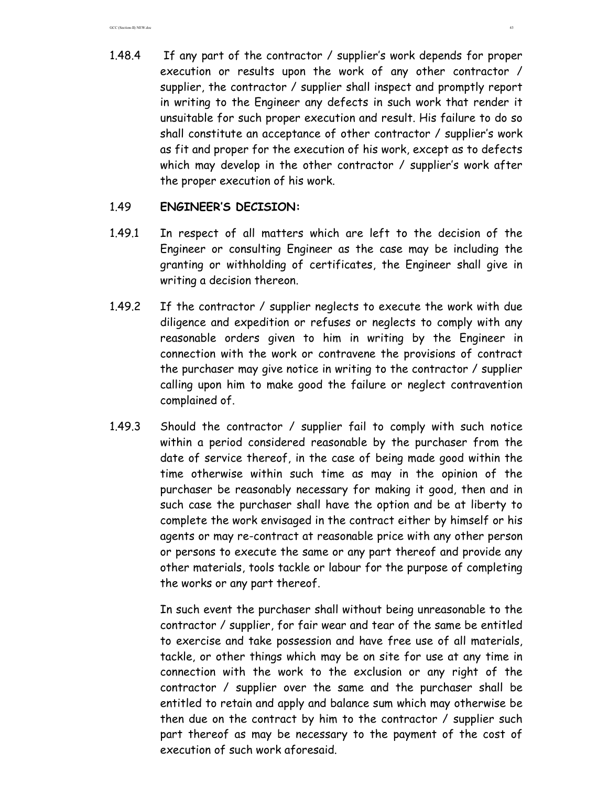1.48.4 If any part of the contractor / supplier's work depends for proper execution or results upon the work of any other contractor / supplier, the contractor / supplier shall inspect and promptly report in writing to the Engineer any defects in such work that render it unsuitable for such proper execution and result. His failure to do so shall constitute an acceptance of other contractor / supplier's work as fit and proper for the execution of his work, except as to defects which may develop in the other contractor / supplier's work after the proper execution of his work.

### 1.49 **ENGINEER'S DECISION:**

- 1.49.1 In respect of all matters which are left to the decision of the Engineer or consulting Engineer as the case may be including the granting or withholding of certificates, the Engineer shall give in writing a decision thereon.
- 1.49.2 If the contractor / supplier neglects to execute the work with due diligence and expedition or refuses or neglects to comply with any reasonable orders given to him in writing by the Engineer in connection with the work or contravene the provisions of contract the purchaser may give notice in writing to the contractor / supplier calling upon him to make good the failure or neglect contravention complained of.
- 1.49.3 Should the contractor / supplier fail to comply with such notice within a period considered reasonable by the purchaser from the date of service thereof, in the case of being made good within the time otherwise within such time as may in the opinion of the purchaser be reasonably necessary for making it good, then and in such case the purchaser shall have the option and be at liberty to complete the work envisaged in the contract either by himself or his agents or may re-contract at reasonable price with any other person or persons to execute the same or any part thereof and provide any other materials, tools tackle or labour for the purpose of completing the works or any part thereof.

 In such event the purchaser shall without being unreasonable to the contractor / supplier, for fair wear and tear of the same be entitled to exercise and take possession and have free use of all materials, tackle, or other things which may be on site for use at any time in connection with the work to the exclusion or any right of the contractor / supplier over the same and the purchaser shall be entitled to retain and apply and balance sum which may otherwise be then due on the contract by him to the contractor / supplier such part thereof as may be necessary to the payment of the cost of execution of such work aforesaid.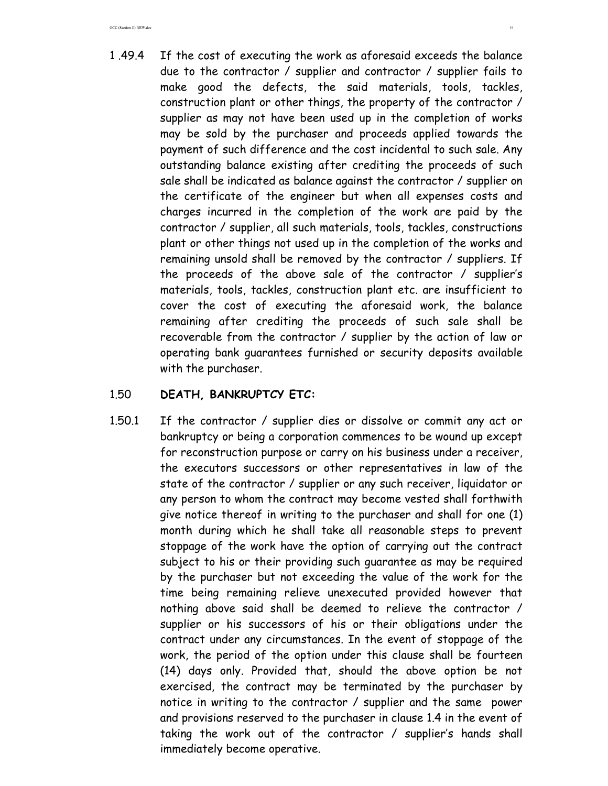1 .49.4 If the cost of executing the work as aforesaid exceeds the balance due to the contractor / supplier and contractor / supplier fails to make good the defects, the said materials, tools, tackles, construction plant or other things, the property of the contractor / supplier as may not have been used up in the completion of works may be sold by the purchaser and proceeds applied towards the payment of such difference and the cost incidental to such sale. Any outstanding balance existing after crediting the proceeds of such sale shall be indicated as balance against the contractor / supplier on the certificate of the engineer but when all expenses costs and charges incurred in the completion of the work are paid by the contractor / supplier, all such materials, tools, tackles, constructions plant or other things not used up in the completion of the works and remaining unsold shall be removed by the contractor / suppliers. If the proceeds of the above sale of the contractor / supplier's materials, tools, tackles, construction plant etc. are insufficient to cover the cost of executing the aforesaid work, the balance remaining after crediting the proceeds of such sale shall be recoverable from the contractor / supplier by the action of law or operating bank guarantees furnished or security deposits available with the purchaser.

### 1.50 **DEATH, BANKRUPTCY ETC:**

1.50.1 If the contractor / supplier dies or dissolve or commit any act or bankruptcy or being a corporation commences to be wound up except for reconstruction purpose or carry on his business under a receiver, the executors successors or other representatives in law of the state of the contractor / supplier or any such receiver, liquidator or any person to whom the contract may become vested shall forthwith give notice thereof in writing to the purchaser and shall for one (1) month during which he shall take all reasonable steps to prevent stoppage of the work have the option of carrying out the contract subject to his or their providing such guarantee as may be required by the purchaser but not exceeding the value of the work for the time being remaining relieve unexecuted provided however that nothing above said shall be deemed to relieve the contractor / supplier or his successors of his or their obligations under the contract under any circumstances. In the event of stoppage of the work, the period of the option under this clause shall be fourteen (14) days only. Provided that, should the above option be not exercised, the contract may be terminated by the purchaser by notice in writing to the contractor / supplier and the same power and provisions reserved to the purchaser in clause 1.4 in the event of taking the work out of the contractor / supplier's hands shall immediately become operative.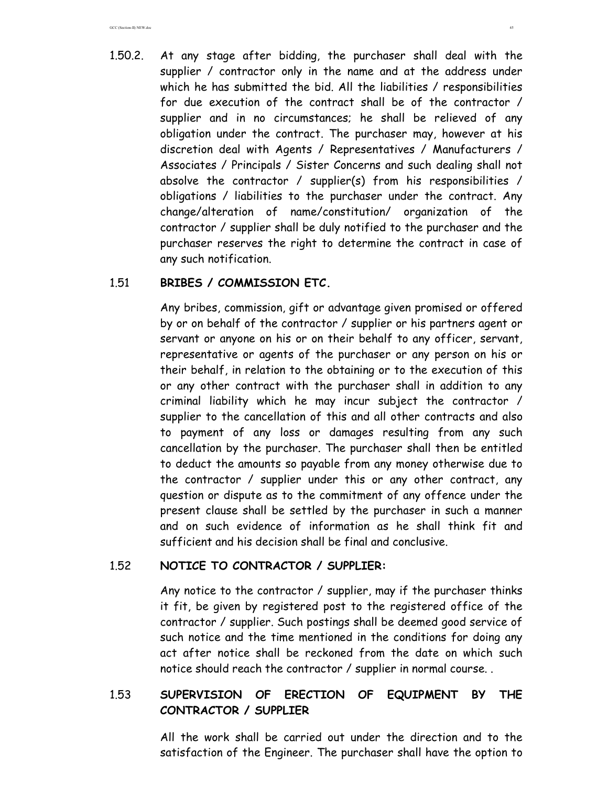1.50.2. At any stage after bidding, the purchaser shall deal with the supplier / contractor only in the name and at the address under which he has submitted the bid. All the liabilities / responsibilities for due execution of the contract shall be of the contractor / supplier and in no circumstances; he shall be relieved of any obligation under the contract. The purchaser may, however at his discretion deal with Agents / Representatives / Manufacturers / Associates / Principals / Sister Concerns and such dealing shall not absolve the contractor / supplier(s) from his responsibilities / obligations / liabilities to the purchaser under the contract. Any change/alteration of name/constitution/ organization of the contractor / supplier shall be duly notified to the purchaser and the purchaser reserves the right to determine the contract in case of any such notification.

### 1.51 **BRIBES / COMMISSION ETC.**

 Any bribes, commission, gift or advantage given promised or offered by or on behalf of the contractor / supplier or his partners agent or servant or anyone on his or on their behalf to any officer, servant, representative or agents of the purchaser or any person on his or their behalf, in relation to the obtaining or to the execution of this or any other contract with the purchaser shall in addition to any criminal liability which he may incur subject the contractor / supplier to the cancellation of this and all other contracts and also to payment of any loss or damages resulting from any such cancellation by the purchaser. The purchaser shall then be entitled to deduct the amounts so payable from any money otherwise due to the contractor / supplier under this or any other contract, any question or dispute as to the commitment of any offence under the present clause shall be settled by the purchaser in such a manner and on such evidence of information as he shall think fit and sufficient and his decision shall be final and conclusive.

### 1.52 **NOTICE TO CONTRACTOR / SUPPLIER:**

 Any notice to the contractor / supplier, may if the purchaser thinks it fit, be given by registered post to the registered office of the contractor / supplier. Such postings shall be deemed good service of such notice and the time mentioned in the conditions for doing any act after notice shall be reckoned from the date on which such notice should reach the contractor / supplier in normal course. .

## 1.53 **SUPERVISION OF ERECTION OF EQUIPMENT BY THE CONTRACTOR / SUPPLIER**

 All the work shall be carried out under the direction and to the satisfaction of the Engineer. The purchaser shall have the option to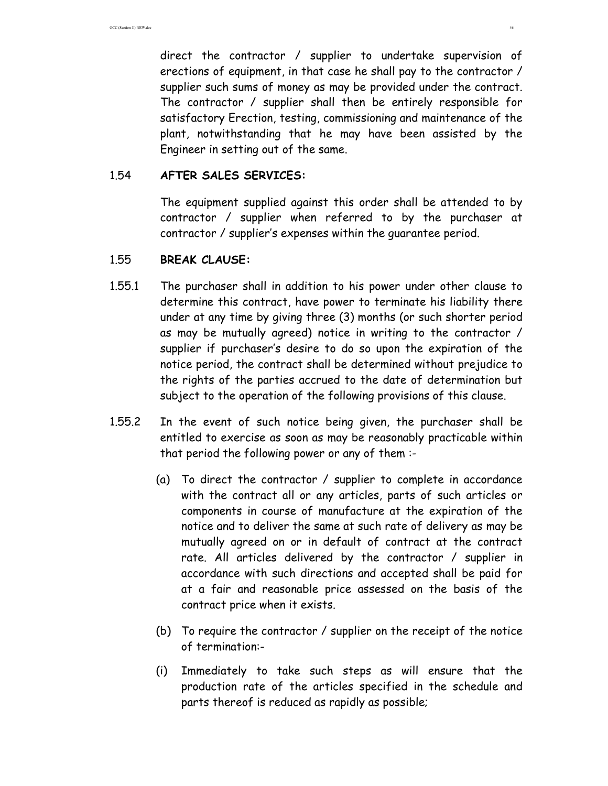direct the contractor / supplier to undertake supervision of erections of equipment, in that case he shall pay to the contractor / supplier such sums of money as may be provided under the contract. The contractor / supplier shall then be entirely responsible for satisfactory Erection, testing, commissioning and maintenance of the plant, notwithstanding that he may have been assisted by the Engineer in setting out of the same.

#### 1.54 **AFTER SALES SERVICES:**

 The equipment supplied against this order shall be attended to by contractor / supplier when referred to by the purchaser at contractor / supplier's expenses within the guarantee period.

### 1.55 **BREAK CLAUSE:**

- 1.55.1 The purchaser shall in addition to his power under other clause to determine this contract, have power to terminate his liability there under at any time by giving three (3) months (or such shorter period as may be mutually agreed) notice in writing to the contractor / supplier if purchaser's desire to do so upon the expiration of the notice period, the contract shall be determined without prejudice to the rights of the parties accrued to the date of determination but subject to the operation of the following provisions of this clause.
- 1.55.2 In the event of such notice being given, the purchaser shall be entitled to exercise as soon as may be reasonably practicable within that period the following power or any of them :-
	- (a) To direct the contractor / supplier to complete in accordance with the contract all or any articles, parts of such articles or components in course of manufacture at the expiration of the notice and to deliver the same at such rate of delivery as may be mutually agreed on or in default of contract at the contract rate. All articles delivered by the contractor / supplier in accordance with such directions and accepted shall be paid for at a fair and reasonable price assessed on the basis of the contract price when it exists.
	- (b) To require the contractor / supplier on the receipt of the notice of termination:-
	- (i) Immediately to take such steps as will ensure that the production rate of the articles specified in the schedule and parts thereof is reduced as rapidly as possible;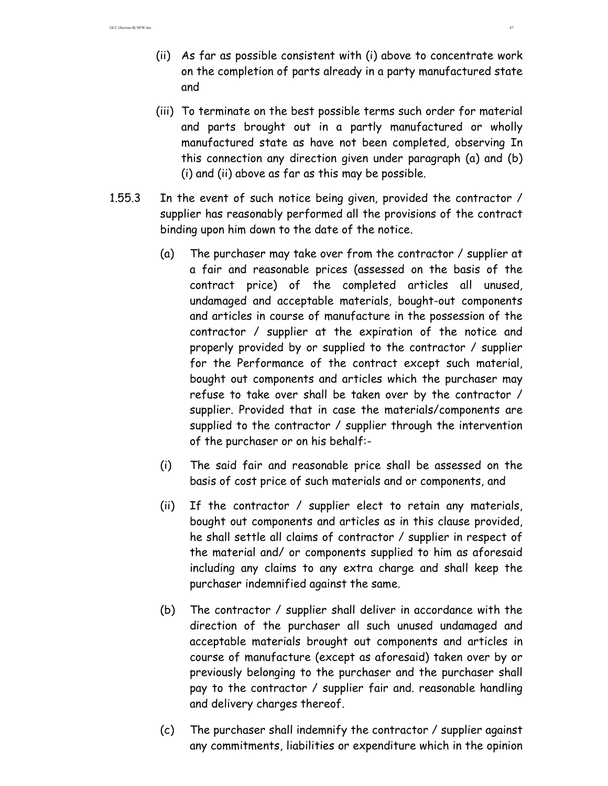- (ii) As far as possible consistent with (i) above to concentrate work on the completion of parts already in a party manufactured state and
- (iii) To terminate on the best possible terms such order for material and parts brought out in a partly manufactured or wholly manufactured state as have not been completed, observing In this connection any direction given under paragraph (a) and (b) (i) and (ii) above as far as this may be possible.
- 1.55.3 In the event of such notice being given, provided the contractor / supplier has reasonably performed all the provisions of the contract binding upon him down to the date of the notice.
	- (a) The purchaser may take over from the contractor / supplier at a fair and reasonable prices (assessed on the basis of the contract price) of the completed articles all unused, undamaged and acceptable materials, bought-out components and articles in course of manufacture in the possession of the contractor / supplier at the expiration of the notice and properly provided by or supplied to the contractor / supplier for the Performance of the contract except such material, bought out components and articles which the purchaser may refuse to take over shall be taken over by the contractor / supplier. Provided that in case the materials/components are supplied to the contractor / supplier through the intervention of the purchaser or on his behalf:-
	- (i) The said fair and reasonable price shall be assessed on the basis of cost price of such materials and or components, and
	- (ii) If the contractor / supplier elect to retain any materials, bought out components and articles as in this clause provided, he shall settle all claims of contractor / supplier in respect of the material and/ or components supplied to him as aforesaid including any claims to any extra charge and shall keep the purchaser indemnified against the same.
	- (b) The contractor / supplier shall deliver in accordance with the direction of the purchaser all such unused undamaged and acceptable materials brought out components and articles in course of manufacture (except as aforesaid) taken over by or previously belonging to the purchaser and the purchaser shall pay to the contractor / supplier fair and. reasonable handling and delivery charges thereof.
	- (c) The purchaser shall indemnify the contractor / supplier against any commitments, liabilities or expenditure which in the opinion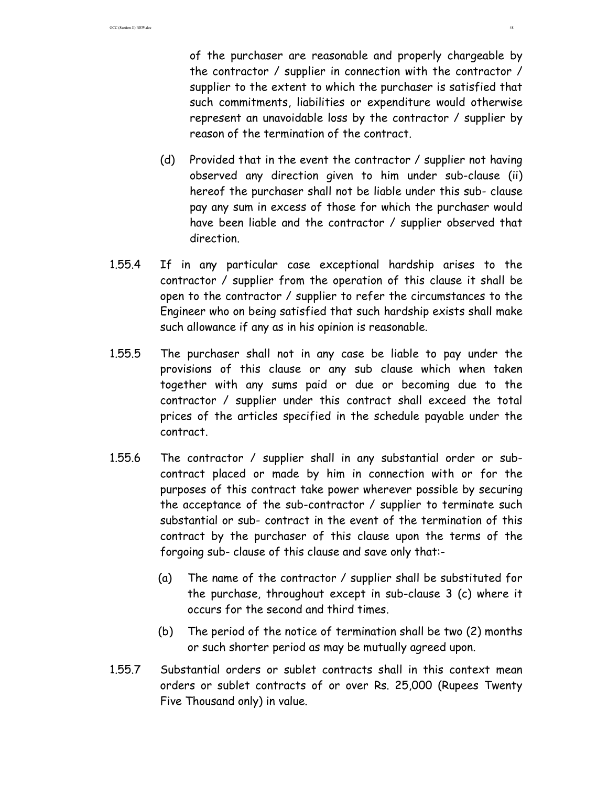of the purchaser are reasonable and properly chargeable by the contractor / supplier in connection with the contractor / supplier to the extent to which the purchaser is satisfied that such commitments, liabilities or expenditure would otherwise represent an unavoidable loss by the contractor / supplier by reason of the termination of the contract.

- (d) Provided that in the event the contractor / supplier not having observed any direction given to him under sub-clause (ii) hereof the purchaser shall not be liable under this sub- clause pay any sum in excess of those for which the purchaser would have been liable and the contractor / supplier observed that direction.
- 1.55.4 If in any particular case exceptional hardship arises to the contractor / supplier from the operation of this clause it shall be open to the contractor / supplier to refer the circumstances to the Engineer who on being satisfied that such hardship exists shall make such allowance if any as in his opinion is reasonable.
- 1.55.5 The purchaser shall not in any case be liable to pay under the provisions of this clause or any sub clause which when taken together with any sums paid or due or becoming due to the contractor / supplier under this contract shall exceed the total prices of the articles specified in the schedule payable under the contract.
- 1.55.6 The contractor / supplier shall in any substantial order or subcontract placed or made by him in connection with or for the purposes of this contract take power wherever possible by securing the acceptance of the sub-contractor / supplier to terminate such substantial or sub- contract in the event of the termination of this contract by the purchaser of this clause upon the terms of the forgoing sub- clause of this clause and save only that:-
	- (a) The name of the contractor / supplier shall be substituted for the purchase, throughout except in sub-clause 3 (c) where it occurs for the second and third times.
	- (b) The period of the notice of termination shall be two (2) months or such shorter period as may be mutually agreed upon.
- 1.55.7 Substantial orders or sublet contracts shall in this context mean orders or sublet contracts of or over Rs. 25,000 (Rupees Twenty Five Thousand only) in value.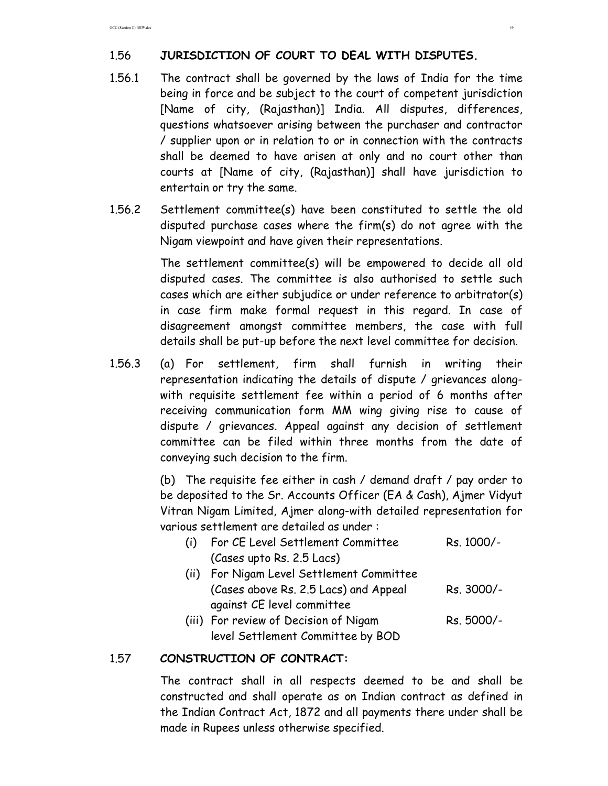# 1.56 **JURISDICTION OF COURT TO DEAL WITH DISPUTES.**

- 1.56.1 The contract shall be governed by the laws of India for the time being in force and be subject to the court of competent jurisdiction [Name of city, (Rajasthan)] India. All disputes, differences, questions whatsoever arising between the purchaser and contractor / supplier upon or in relation to or in connection with the contracts shall be deemed to have arisen at only and no court other than courts at [Name of city, (Rajasthan)] shall have jurisdiction to entertain or try the same.
- 1.56.2 Settlement committee(s) have been constituted to settle the old disputed purchase cases where the firm(s) do not agree with the Nigam viewpoint and have given their representations.

 The settlement committee(s) will be empowered to decide all old disputed cases. The committee is also authorised to settle such cases which are either subjudice or under reference to arbitrator(s) in case firm make formal request in this regard. In case of disagreement amongst committee members, the case with full details shall be put-up before the next level committee for decision.

1.56.3 (a) For settlement, firm shall furnish in writing their representation indicating the details of dispute / grievances alongwith requisite settlement fee within a period of 6 months after receiving communication form MM wing giving rise to cause of dispute / grievances. Appeal against any decision of settlement committee can be filed within three months from the date of conveying such decision to the firm.

> (b) The requisite fee either in cash / demand draft / pay order to be deposited to the Sr. Accounts Officer (EA & Cash), Ajmer Vidyut Vitran Nigam Limited, Ajmer along-with detailed representation for various settlement are detailed as under :

| (i) For CE Level Settlement Committee     | Rs. 1000/- |
|-------------------------------------------|------------|
| (Cases upto Rs. 2.5 Lacs)                 |            |
| (ii) For Nigam Level Settlement Committee |            |
| (Cases above Rs. 2.5 Lacs) and Appeal     | Rs. 3000/- |
| against CE level committee                |            |
| (iii) For review of Decision of Nigam     | Rs. 5000/- |

(iii) For review of Decision of Nigam Rs. 5000/level Settlement Committee by BOD

### 1.57 **CONSTRUCTION OF CONTRACT:**

 The contract shall in all respects deemed to be and shall be constructed and shall operate as on Indian contract as defined in the Indian Contract Act, 1872 and all payments there under shall be made in Rupees unless otherwise specified.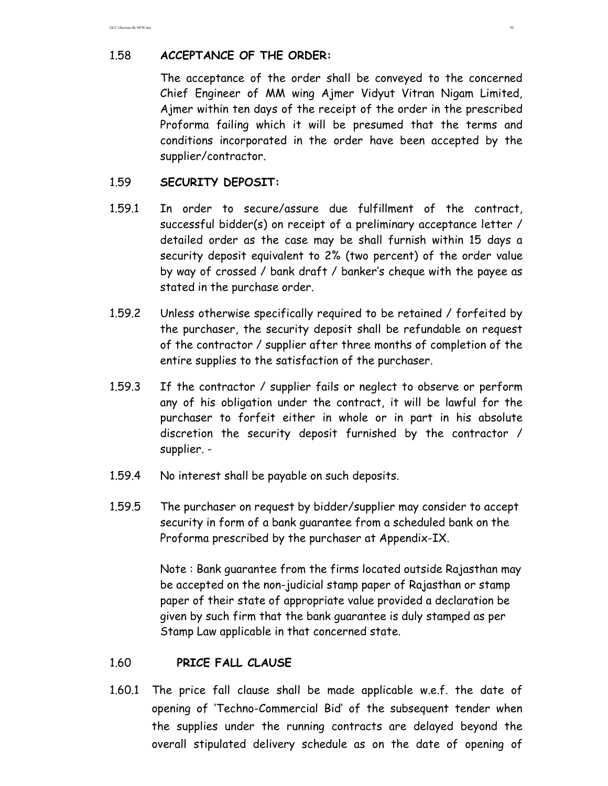## 1.58 **ACCEPTANCE OF THE ORDER:**

 The acceptance of the order shall be conveyed to the concerned Chief Engineer of MM wing Ajmer Vidyut Vitran Nigam Limited, Ajmer within ten days of the receipt of the order in the prescribed Proforma failing which it will be presumed that the terms and conditions incorporated in the order have been accepted by the supplier/contractor.

### 1.59 **SECURITY DEPOSIT:**

- 1.59.1 In order to secure/assure due fulfillment of the contract, successful bidder(s) on receipt of a preliminary acceptance letter / detailed order as the case may be shall furnish within 15 days a security deposit equivalent to 2% (two percent) of the order value by way of crossed / bank draft / banker's cheque with the payee as stated in the purchase order.
- 1.59.2 Unless otherwise specifically required to be retained / forfeited by the purchaser, the security deposit shall be refundable on request of the contractor / supplier after three months of completion of the entire supplies to the satisfaction of the purchaser.
- 1.59.3 If the contractor / supplier fails or neglect to observe or perform any of his obligation under the contract, it will be lawful for the purchaser to forfeit either in whole or in part in his absolute discretion the security deposit furnished by the contractor / supplier. -
- 1.59.4 No interest shall be payable on such deposits.
- 1.59.5 The purchaser on request by bidder/supplier may consider to accept security in form of a bank guarantee from a scheduled bank on the Proforma prescribed by the purchaser at Appendix-IX.

 Note : Bank guarantee from the firms located outside Rajasthan may be accepted on the non-judicial stamp paper of Rajasthan or stamp paper of their state of appropriate value provided a declaration be given by such firm that the bank guarantee is duly stamped as per Stamp Law applicable in that concerned state.

### 1.60 **PRICE FALL CLAUSE**

1.60.1 The price fall clause shall be made applicable w.e.f. the date of opening of 'Techno-Commercial Bid' of the subsequent tender when the supplies under the running contracts are delayed beyond the overall stipulated delivery schedule as on the date of opening of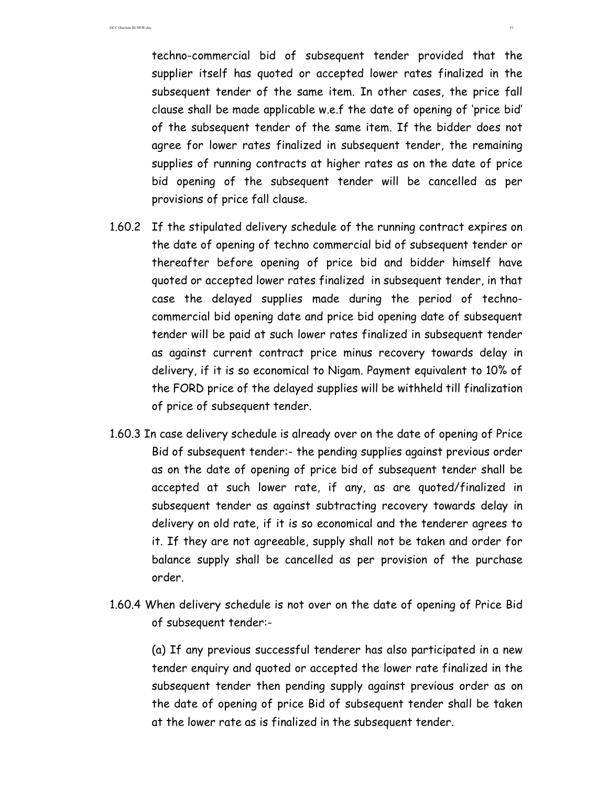techno-commercial bid of subsequent tender provided that the supplier itself has quoted or accepted lower rates finalized in the subsequent tender of the same item. In other cases, the price fall clause shall be made applicable w.e.f the date of opening of 'price bid' of the subsequent tender of the same item. If the bidder does not agree for lower rates finalized in subsequent tender, the remaining supplies of running contracts at higher rates as on the date of price bid opening of the subsequent tender will be cancelled as per provisions of price fall clause.

- 1.60.2 If the stipulated delivery schedule of the running contract expires on the date of opening of techno commercial bid of subsequent tender or thereafter before opening of price bid and bidder himself have quoted or accepted lower rates finalized in subsequent tender, in that case the delayed supplies made during the period of technocommercial bid opening date and price bid opening date of subsequent tender will be paid at such lower rates finalized in subsequent tender as against current contract price minus recovery towards delay in delivery, if it is so economical to Nigam. Payment equivalent to 10% of the FORD price of the delayed supplies will be withheld till finalization of price of subsequent tender.
- 1.60.3 In case delivery schedule is already over on the date of opening of Price Bid of subsequent tender:- the pending supplies against previous order as on the date of opening of price bid of subsequent tender shall be accepted at such lower rate, if any, as are quoted/finalized in subsequent tender as against subtracting recovery towards delay in delivery on old rate, if it is so economical and the tenderer agrees to it. If they are not agreeable, supply shall not be taken and order for balance supply shall be cancelled as per provision of the purchase order.
- 1.60.4 When delivery schedule is not over on the date of opening of Price Bid of subsequent tender:-

(a) If any previous successful tenderer has also participated in a new tender enquiry and quoted or accepted the lower rate finalized in the subsequent tender then pending supply against previous order as on the date of opening of price Bid of subsequent tender shall be taken at the lower rate as is finalized in the subsequent tender.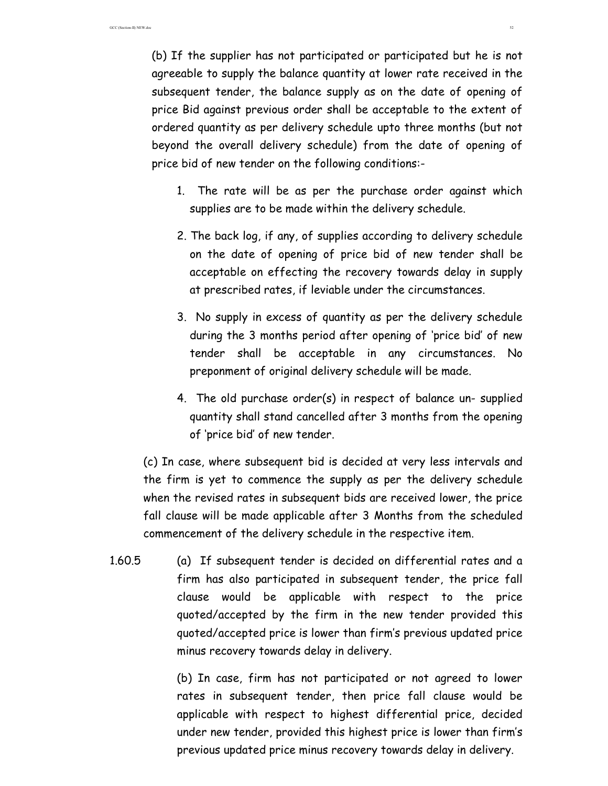(b) If the supplier has not participated or participated but he is not agreeable to supply the balance quantity at lower rate received in the subsequent tender, the balance supply as on the date of opening of price Bid against previous order shall be acceptable to the extent of ordered quantity as per delivery schedule upto three months (but not beyond the overall delivery schedule) from the date of opening of price bid of new tender on the following conditions:-

- 1. The rate will be as per the purchase order against which supplies are to be made within the delivery schedule.
- 2. The back log, if any, of supplies according to delivery schedule on the date of opening of price bid of new tender shall be acceptable on effecting the recovery towards delay in supply at prescribed rates, if leviable under the circumstances.
- 3. No supply in excess of quantity as per the delivery schedule during the 3 months period after opening of 'price bid' of new tender shall be acceptable in any circumstances. No preponment of original delivery schedule will be made.
- 4. The old purchase order(s) in respect of balance un- supplied quantity shall stand cancelled after 3 months from the opening of 'price bid' of new tender.

(c) In case, where subsequent bid is decided at very less intervals and the firm is yet to commence the supply as per the delivery schedule when the revised rates in subsequent bids are received lower, the price fall clause will be made applicable after 3 Months from the scheduled commencement of the delivery schedule in the respective item.

1.60.5 (a) If subsequent tender is decided on differential rates and a firm has also participated in subsequent tender, the price fall clause would be applicable with respect to the price quoted/accepted by the firm in the new tender provided this quoted/accepted price is lower than firm's previous updated price minus recovery towards delay in delivery.

> (b) In case, firm has not participated or not agreed to lower rates in subsequent tender, then price fall clause would be applicable with respect to highest differential price, decided under new tender, provided this highest price is lower than firm's previous updated price minus recovery towards delay in delivery.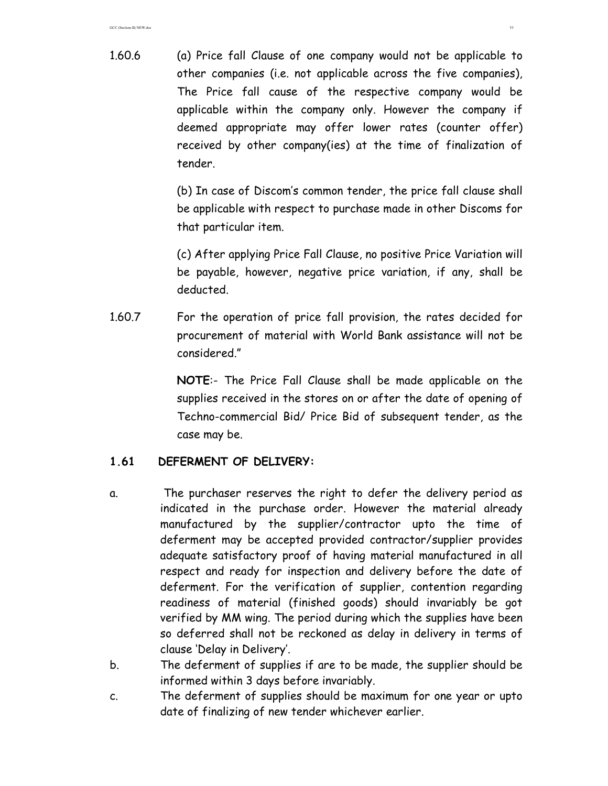1.60.6 (a) Price fall Clause of one company would not be applicable to other companies (i.e. not applicable across the five companies), The Price fall cause of the respective company would be applicable within the company only. However the company if deemed appropriate may offer lower rates (counter offer) received by other company(ies) at the time of finalization of tender.

> (b) In case of Discom's common tender, the price fall clause shall be applicable with respect to purchase made in other Discoms for that particular item.

> (c) After applying Price Fall Clause, no positive Price Variation will be payable, however, negative price variation, if any, shall be deducted.

1.60.7 For the operation of price fall provision, the rates decided for procurement of material with World Bank assistance will not be considered."

> **NOTE**:- The Price Fall Clause shall be made applicable on the supplies received in the stores on or after the date of opening of Techno-commercial Bid/ Price Bid of subsequent tender, as the case may be.

### **1.61 DEFERMENT OF DELIVERY:**

- a. The purchaser reserves the right to defer the delivery period as indicated in the purchase order. However the material already manufactured by the supplier/contractor upto the time of deferment may be accepted provided contractor/supplier provides adequate satisfactory proof of having material manufactured in all respect and ready for inspection and delivery before the date of deferment. For the verification of supplier, contention regarding readiness of material (finished goods) should invariably be got verified by MM wing. The period during which the supplies have been so deferred shall not be reckoned as delay in delivery in terms of clause 'Delay in Delivery'.
- b. The deferment of supplies if are to be made, the supplier should be informed within 3 days before invariably.
- c. The deferment of supplies should be maximum for one year or upto date of finalizing of new tender whichever earlier.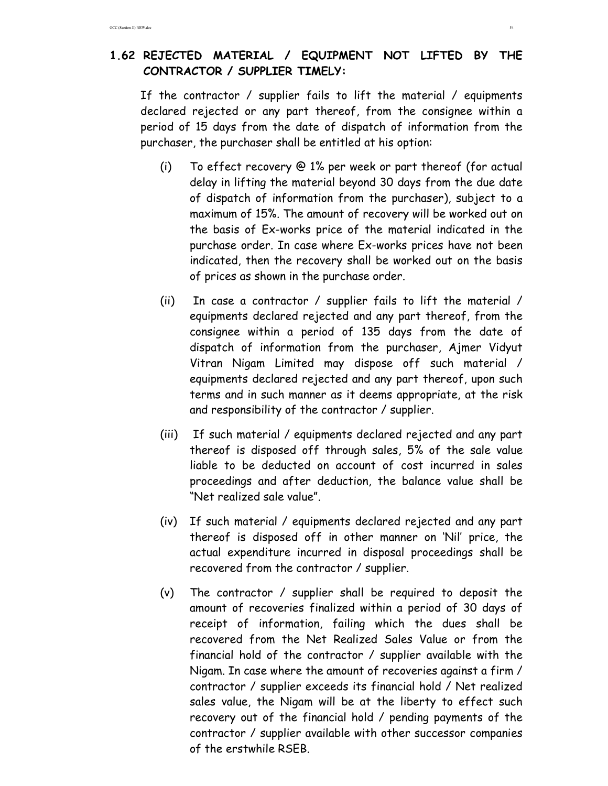# **1.62 REJECTED MATERIAL / EQUIPMENT NOT LIFTED BY THE CONTRACTOR / SUPPLIER TIMELY:**

If the contractor / supplier fails to lift the material / equipments declared rejected or any part thereof, from the consignee within a period of 15 days from the date of dispatch of information from the purchaser, the purchaser shall be entitled at his option:

- (i) To effect recovery @ 1% per week or part thereof (for actual delay in lifting the material beyond 30 days from the due date of dispatch of information from the purchaser), subject to a maximum of 15%. The amount of recovery will be worked out on the basis of Ex-works price of the material indicated in the purchase order. In case where Ex-works prices have not been indicated, then the recovery shall be worked out on the basis of prices as shown in the purchase order.
- (ii) In case a contractor / supplier fails to lift the material / equipments declared rejected and any part thereof, from the consignee within a period of 135 days from the date of dispatch of information from the purchaser, Ajmer Vidyut Vitran Nigam Limited may dispose off such material / equipments declared rejected and any part thereof, upon such terms and in such manner as it deems appropriate, at the risk and responsibility of the contractor / supplier.
- (iii) If such material / equipments declared rejected and any part thereof is disposed off through sales, 5% of the sale value liable to be deducted on account of cost incurred in sales proceedings and after deduction, the balance value shall be "Net realized sale value".
- (iv) If such material / equipments declared rejected and any part thereof is disposed off in other manner on 'Nil' price, the actual expenditure incurred in disposal proceedings shall be recovered from the contractor / supplier.
- (v) The contractor / supplier shall be required to deposit the amount of recoveries finalized within a period of 30 days of receipt of information, failing which the dues shall be recovered from the Net Realized Sales Value or from the financial hold of the contractor / supplier available with the Nigam. In case where the amount of recoveries against a firm / contractor / supplier exceeds its financial hold / Net realized sales value, the Nigam will be at the liberty to effect such recovery out of the financial hold / pending payments of the contractor / supplier available with other successor companies of the erstwhile RSEB.